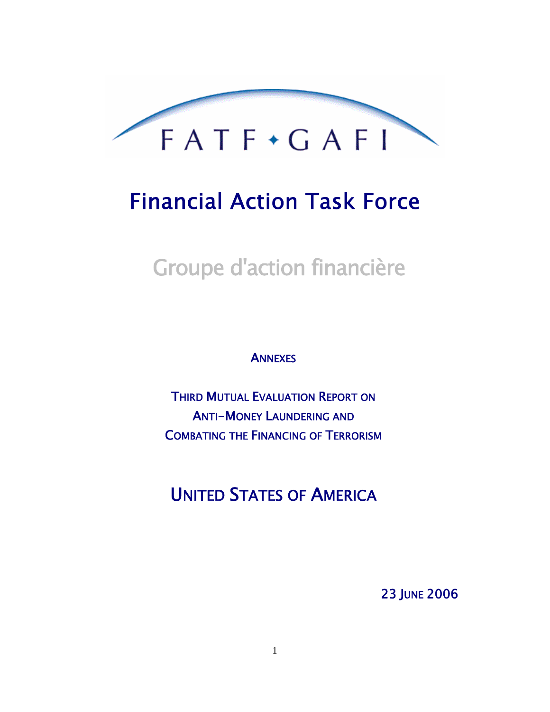

# Financial Action Task Force

Groupe d'action financière

**ANNEXES** 

THIRD MUTUAL EVALUATION REPORT ON ANTI-MONEY LAUNDERING AND COMBATING THE FINANCING OF TERRORISM

UNITED STATES OF AMERICA

23 JUNE 2006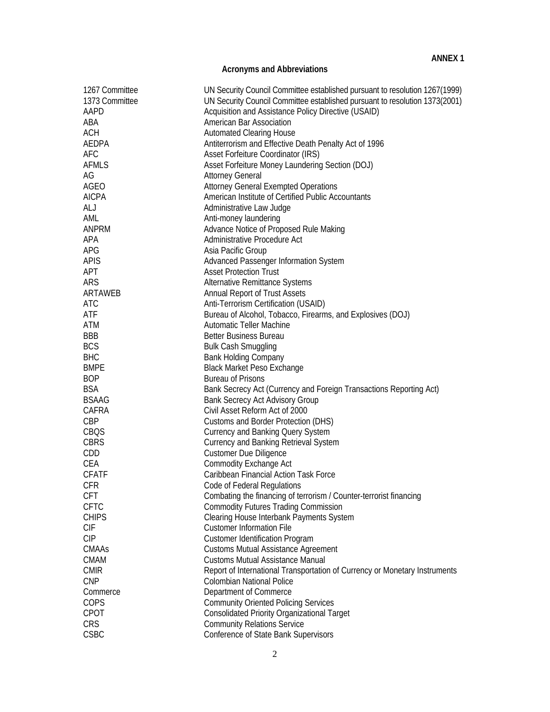# **Acronyms and Abbreviations**

| 1267 Committee | UN Security Council Committee established pursuant to resolution 1267(1999) |
|----------------|-----------------------------------------------------------------------------|
| 1373 Committee | UN Security Council Committee established pursuant to resolution 1373(2001) |
| AAPD           | Acquisition and Assistance Policy Directive (USAID)                         |
| ABA            | American Bar Association                                                    |
| <b>ACH</b>     | <b>Automated Clearing House</b>                                             |
| AEDPA          | Antiterrorism and Effective Death Penalty Act of 1996                       |
| AFC            |                                                                             |
|                | Asset Forfeiture Coordinator (IRS)                                          |
| AFMLS          | Asset Forfeiture Money Laundering Section (DOJ)                             |
| AG             | <b>Attorney General</b>                                                     |
| AGEO           | <b>Attorney General Exempted Operations</b>                                 |
| <b>AICPA</b>   | American Institute of Certified Public Accountants                          |
| ALJ            | Administrative Law Judge                                                    |
| AML            | Anti-money laundering                                                       |
| <b>ANPRM</b>   | Advance Notice of Proposed Rule Making                                      |
| APA            | Administrative Procedure Act                                                |
| APG            | Asia Pacific Group                                                          |
| <b>APIS</b>    | Advanced Passenger Information System                                       |
| APT            | <b>Asset Protection Trust</b>                                               |
| ARS            | Alternative Remittance Systems                                              |
| ARTAWEB        | Annual Report of Trust Assets                                               |
| <b>ATC</b>     | Anti-Terrorism Certification (USAID)                                        |
| ATF            | Bureau of Alcohol, Tobacco, Firearms, and Explosives (DOJ)                  |
| <b>ATM</b>     | <b>Automatic Teller Machine</b>                                             |
|                |                                                                             |
| <b>BBB</b>     | <b>Better Business Bureau</b>                                               |
| <b>BCS</b>     | <b>Bulk Cash Smuggling</b>                                                  |
| <b>BHC</b>     | <b>Bank Holding Company</b>                                                 |
| <b>BMPE</b>    | <b>Black Market Peso Exchange</b>                                           |
| <b>BOP</b>     | <b>Bureau of Prisons</b>                                                    |
| <b>BSA</b>     | Bank Secrecy Act (Currency and Foreign Transactions Reporting Act)          |
| <b>BSAAG</b>   | <b>Bank Secrecy Act Advisory Group</b>                                      |
| CAFRA          | Civil Asset Reform Act of 2000                                              |
| <b>CBP</b>     | Customs and Border Protection (DHS)                                         |
| CBQS           | <b>Currency and Banking Query System</b>                                    |
| <b>CBRS</b>    | <b>Currency and Banking Retrieval System</b>                                |
| CDD            | <b>Customer Due Diligence</b>                                               |
| <b>CEA</b>     | Commodity Exchange Act                                                      |
| <b>CFATF</b>   | Caribbean Financial Action Task Force                                       |
| <b>CFR</b>     | Code of Federal Regulations                                                 |
| <b>CFT</b>     |                                                                             |
|                | Combating the financing of terrorism / Counter-terrorist financing          |
| <b>CFTC</b>    | <b>Commodity Futures Trading Commission</b>                                 |
| <b>CHIPS</b>   | Clearing House Interbank Payments System                                    |
| <b>CIF</b>     | Customer Information File                                                   |
| <b>CIP</b>     | <b>Customer Identification Program</b>                                      |
| <b>CMAAs</b>   | <b>Customs Mutual Assistance Agreement</b>                                  |
| <b>CMAM</b>    | Customs Mutual Assistance Manual                                            |
| <b>CMIR</b>    | Report of International Transportation of Currency or Monetary Instruments  |
| <b>CNP</b>     | Colombian National Police                                                   |
| Commerce       | Department of Commerce                                                      |
| COPS           | <b>Community Oriented Policing Services</b>                                 |
| CPOT           | <b>Consolidated Priority Organizational Target</b>                          |
| <b>CRS</b>     | <b>Community Relations Service</b>                                          |
| CSBC           | Conference of State Bank Supervisors                                        |
|                |                                                                             |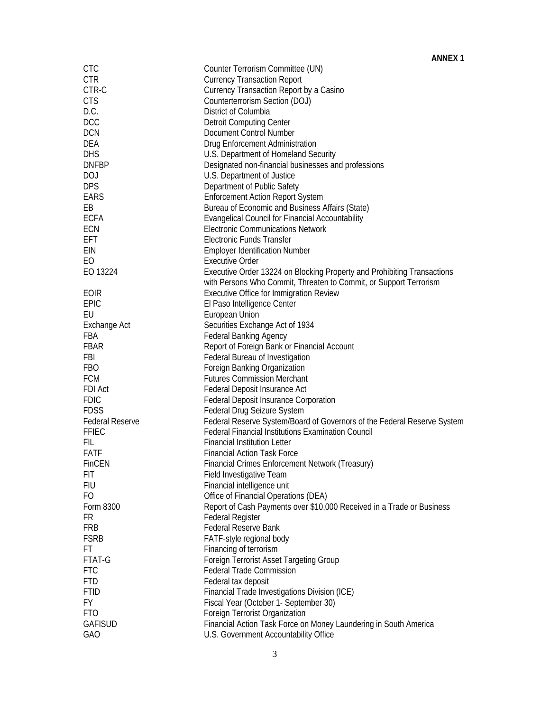| <b>CTC</b>             | Counter Terrorism Committee (UN)                                                           |
|------------------------|--------------------------------------------------------------------------------------------|
| <b>CTR</b>             | <b>Currency Transaction Report</b>                                                         |
| CTR-C                  | Currency Transaction Report by a Casino                                                    |
| <b>CTS</b>             | Counterterrorism Section (DOJ)                                                             |
| D.C.                   | District of Columbia                                                                       |
| <b>DCC</b>             | <b>Detroit Computing Center</b>                                                            |
| <b>DCN</b>             | Document Control Number                                                                    |
| DEA                    | Drug Enforcement Administration                                                            |
| <b>DHS</b>             | U.S. Department of Homeland Security                                                       |
| <b>DNFBP</b>           | Designated non-financial businesses and professions                                        |
| <b>DOJ</b>             | U.S. Department of Justice                                                                 |
| <b>DPS</b>             | Department of Public Safety                                                                |
| <b>EARS</b>            |                                                                                            |
| EB                     | <b>Enforcement Action Report System</b><br>Bureau of Economic and Business Affairs (State) |
|                        |                                                                                            |
| <b>ECFA</b>            | <b>Evangelical Council for Financial Accountability</b>                                    |
| <b>ECN</b>             | <b>Electronic Communications Network</b>                                                   |
| EFT                    | <b>Electronic Funds Transfer</b>                                                           |
| <b>EIN</b>             | <b>Employer Identification Number</b>                                                      |
| EO                     | <b>Executive Order</b>                                                                     |
| EO 13224               | Executive Order 13224 on Blocking Property and Prohibiting Transactions                    |
|                        | with Persons Who Commit, Threaten to Commit, or Support Terrorism                          |
| <b>EOIR</b>            | Executive Office for Immigration Review                                                    |
| <b>EPIC</b>            | El Paso Intelligence Center                                                                |
| EU                     | European Union                                                                             |
| <b>Exchange Act</b>    | Securities Exchange Act of 1934                                                            |
| <b>FBA</b>             | <b>Federal Banking Agency</b>                                                              |
| <b>FBAR</b>            | Report of Foreign Bank or Financial Account                                                |
| FBI                    | Federal Bureau of Investigation                                                            |
| <b>FBO</b>             | Foreign Banking Organization                                                               |
| <b>FCM</b>             | <b>Futures Commission Merchant</b>                                                         |
| <b>FDI Act</b>         | Federal Deposit Insurance Act                                                              |
| <b>FDIC</b>            | <b>Federal Deposit Insurance Corporation</b>                                               |
| <b>FDSS</b>            | Federal Drug Seizure System                                                                |
| <b>Federal Reserve</b> | Federal Reserve System/Board of Governors of the Federal Reserve System                    |
| <b>FFIEC</b>           | Federal Financial Institutions Examination Council                                         |
| FIL                    | <b>Financial Institution Letter</b>                                                        |
| <b>FATF</b>            | <b>Financial Action Task Force</b>                                                         |
| FinCEN                 | Financial Crimes Enforcement Network (Treasury)                                            |
| <b>FIT</b>             | Field Investigative Team                                                                   |
| <b>FIU</b>             | Financial intelligence unit                                                                |
| F <sub>O</sub>         | Office of Financial Operations (DEA)                                                       |
| Form 8300              | Report of Cash Payments over \$10,000 Received in a Trade or Business                      |
| <b>FR</b>              | <b>Federal Register</b>                                                                    |
| <b>FRB</b>             | Federal Reserve Bank                                                                       |
| <b>FSRB</b>            | FATF-style regional body                                                                   |
| FT.                    | Financing of terrorism                                                                     |
| FTAT-G                 | Foreign Terrorist Asset Targeting Group                                                    |
| <b>FTC</b>             | Federal Trade Commission                                                                   |
|                        |                                                                                            |
| <b>FTD</b>             | Federal tax deposit                                                                        |
| <b>FTID</b>            | Financial Trade Investigations Division (ICE)                                              |
| <b>FY</b>              | Fiscal Year (October 1- September 30)                                                      |
| <b>FTO</b>             | Foreign Terrorist Organization                                                             |
| <b>GAFISUD</b>         | Financial Action Task Force on Money Laundering in South America                           |
| <b>GAO</b>             | U.S. Government Accountability Office                                                      |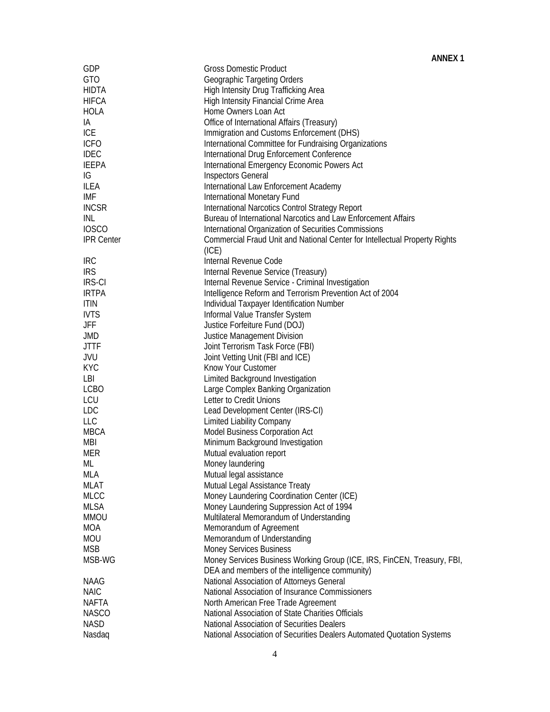| GDP               | <b>Gross Domestic Product</b>                                              |
|-------------------|----------------------------------------------------------------------------|
| GTO               | Geographic Targeting Orders                                                |
| <b>HIDTA</b>      | High Intensity Drug Trafficking Area                                       |
| <b>HIFCA</b>      | <b>High Intensity Financial Crime Area</b>                                 |
| <b>HOLA</b>       | Home Owners Loan Act                                                       |
| IA                | Office of International Affairs (Treasury)                                 |
| <b>ICE</b>        | Immigration and Customs Enforcement (DHS)                                  |
| <b>ICFO</b>       | International Committee for Fundraising Organizations                      |
| <b>IDEC</b>       | International Drug Enforcement Conference                                  |
| <b>IEEPA</b>      | International Emergency Economic Powers Act                                |
| IG                | <b>Inspectors General</b>                                                  |
| <b>ILEA</b>       | International Law Enforcement Academy                                      |
| IMF               | International Monetary Fund                                                |
| <b>INCSR</b>      | International Narcotics Control Strategy Report                            |
| INL               | Bureau of International Narcotics and Law Enforcement Affairs              |
| <b>IOSCO</b>      | International Organization of Securities Commissions                       |
| <b>IPR Center</b> | Commercial Fraud Unit and National Center for Intellectual Property Rights |
|                   | (ICE)                                                                      |
| <b>IRC</b>        | Internal Revenue Code                                                      |
| <b>IRS</b>        | Internal Revenue Service (Treasury)                                        |
| IRS-CI            | Internal Revenue Service - Criminal Investigation                          |
| <b>IRTPA</b>      | Intelligence Reform and Terrorism Prevention Act of 2004                   |
| <b>ITIN</b>       | Individual Taxpayer Identification Number                                  |
| <b>IVTS</b>       | Informal Value Transfer System                                             |
| JFF               | Justice Forfeiture Fund (DOJ)                                              |
| <b>JMD</b>        | Justice Management Division                                                |
| <b>JTTF</b>       | Joint Terrorism Task Force (FBI)                                           |
| JVU               | Joint Vetting Unit (FBI and ICE)                                           |
| <b>KYC</b>        | Know Your Customer                                                         |
| LBI               | Limited Background Investigation                                           |
| <b>LCBO</b>       | Large Complex Banking Organization                                         |
| LCU               | Letter to Credit Unions                                                    |
| <b>LDC</b>        | Lead Development Center (IRS-CI)                                           |
| LLC               | <b>Limited Liability Company</b>                                           |
| <b>MBCA</b>       | Model Business Corporation Act                                             |
| MBI               | Minimum Background Investigation                                           |
| <b>MER</b>        | Mutual evaluation report                                                   |
| ML                | Money laundering                                                           |
| MLA               | Mutual legal assistance                                                    |
| <b>MLAT</b>       | Mutual Legal Assistance Treaty                                             |
| <b>MLCC</b>       | Money Laundering Coordination Center (ICE)                                 |
| <b>MLSA</b>       | Money Laundering Suppression Act of 1994                                   |
| <b>MMOU</b>       | Multilateral Memorandum of Understanding                                   |
| <b>MOA</b>        | Memorandum of Agreement                                                    |
| <b>MOU</b>        | Memorandum of Understanding                                                |
| <b>MSB</b>        | Money Services Business                                                    |
| MSB-WG            | Money Services Business Working Group (ICE, IRS, FinCEN, Treasury, FBI,    |
|                   | DEA and members of the intelligence community)                             |
| NAAG              | National Association of Attorneys General                                  |
| <b>NAIC</b>       | National Association of Insurance Commissioners                            |
| NAFTA             | North American Free Trade Agreement                                        |
| <b>NASCO</b>      | National Association of State Charities Officials                          |
| <b>NASD</b>       | National Association of Securities Dealers                                 |
| Nasdaq            | National Association of Securities Dealers Automated Quotation Systems     |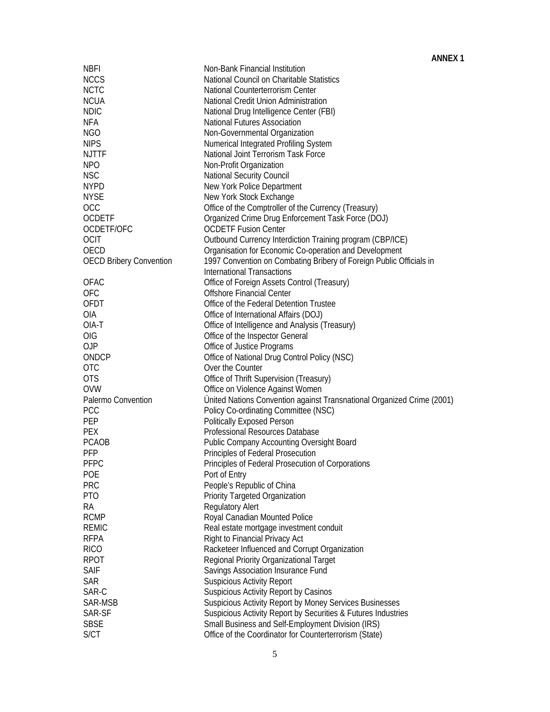| <b>NCCS</b><br>National Council on Charitable Statistics<br><b>NCTC</b><br>National Counterterrorism Center<br><b>NCUA</b><br>National Credit Union Administration<br><b>NDIC</b><br>National Drug Intelligence Center (FBI)<br><b>NFA</b><br>National Futures Association<br>NGO<br>Non-Governmental Organization<br><b>NIPS</b><br>Numerical Integrated Profiling System<br>National Joint Terrorism Task Force<br><b>NJTTF</b><br><b>NPO</b><br>Non-Profit Organization<br><b>NSC</b><br>National Security Council<br><b>NYPD</b><br>New York Police Department<br><b>NYSE</b><br>New York Stock Exchange<br><b>OCC</b><br>Office of the Comptroller of the Currency (Treasury)<br><b>OCDETF</b><br>Organized Crime Drug Enforcement Task Force (DOJ)<br><b>OCDETF Fusion Center</b><br>OCDETF/OFC<br><b>OCIT</b><br>Outbound Currency Interdiction Training program (CBP/ICE)<br><b>OECD</b><br>Organisation for Economic Co-operation and Development<br>1997 Convention on Combating Bribery of Foreign Public Officials in<br><b>OECD Bribery Convention</b><br><b>International Transactions</b><br>OFAC<br>Office of Foreign Assets Control (Treasury)<br><b>Offshore Financial Center</b><br><b>OFC</b><br>OFDT<br>Office of the Federal Detention Trustee<br>OIA<br>Office of International Affairs (DOJ)<br>OIA-T<br>Office of Intelligence and Analysis (Treasury)<br>Office of the Inspector General<br>OIG<br>0JP<br>Office of Justice Programs<br>Office of National Drug Control Policy (NSC)<br>ONDCP<br><b>OTC</b><br>Over the Counter<br><b>OTS</b><br>Office of Thrift Supervision (Treasury)<br><b>OVW</b><br>Office on Violence Against Women<br>Palermo Convention<br>United Nations Convention against Transnational Organized Crime (2001)<br><b>PCC</b><br>Policy Co-ordinating Committee (NSC)<br><b>Politically Exposed Person</b><br>PEP<br><b>PEX</b><br>Professional Resources Database<br><b>PCAOB</b><br>Public Company Accounting Oversight Board<br><b>PFP</b><br>Principles of Federal Prosecution<br><b>PFPC</b><br>Principles of Federal Prosecution of Corporations<br>Port of Entry<br>POE<br>People's Republic of China<br>PRC<br>PTO<br>Priority Targeted Organization<br><b>Regulatory Alert</b><br>RA<br><b>RCMP</b><br>Royal Canadian Mounted Police<br><b>REMIC</b><br>Real estate mortgage investment conduit<br><b>RFPA</b><br>Right to Financial Privacy Act<br><b>RICO</b><br>Racketeer Influenced and Corrupt Organization<br>Regional Priority Organizational Target<br>RPOT<br>Savings Association Insurance Fund<br>SAIF<br><b>SAR</b><br><b>Suspicious Activity Report</b><br>Suspicious Activity Report by Casinos<br>SAR-C<br>Suspicious Activity Report by Money Services Businesses<br>SAR-MSB<br>Suspicious Activity Report by Securities & Futures Industries<br>SAR-SF<br>Small Business and Self-Employment Division (IRS)<br><b>SBSE</b><br>S/CT<br>Office of the Coordinator for Counterterrorism (State) | <b>NBFI</b> | Non-Bank Financial Institution |
|-----------------------------------------------------------------------------------------------------------------------------------------------------------------------------------------------------------------------------------------------------------------------------------------------------------------------------------------------------------------------------------------------------------------------------------------------------------------------------------------------------------------------------------------------------------------------------------------------------------------------------------------------------------------------------------------------------------------------------------------------------------------------------------------------------------------------------------------------------------------------------------------------------------------------------------------------------------------------------------------------------------------------------------------------------------------------------------------------------------------------------------------------------------------------------------------------------------------------------------------------------------------------------------------------------------------------------------------------------------------------------------------------------------------------------------------------------------------------------------------------------------------------------------------------------------------------------------------------------------------------------------------------------------------------------------------------------------------------------------------------------------------------------------------------------------------------------------------------------------------------------------------------------------------------------------------------------------------------------------------------------------------------------------------------------------------------------------------------------------------------------------------------------------------------------------------------------------------------------------------------------------------------------------------------------------------------------------------------------------------------------------------------------------------------------------------------------------------------------------------------------------------------------------------------------------------------------------------------------------------------------------------------------------------------------------------------------------------------------------------------------------------------------------------------------------------------------------------------------------------------------------------------------------------------------------------------------------------------------|-------------|--------------------------------|
|                                                                                                                                                                                                                                                                                                                                                                                                                                                                                                                                                                                                                                                                                                                                                                                                                                                                                                                                                                                                                                                                                                                                                                                                                                                                                                                                                                                                                                                                                                                                                                                                                                                                                                                                                                                                                                                                                                                                                                                                                                                                                                                                                                                                                                                                                                                                                                                                                                                                                                                                                                                                                                                                                                                                                                                                                                                                                                                                                                             |             |                                |
|                                                                                                                                                                                                                                                                                                                                                                                                                                                                                                                                                                                                                                                                                                                                                                                                                                                                                                                                                                                                                                                                                                                                                                                                                                                                                                                                                                                                                                                                                                                                                                                                                                                                                                                                                                                                                                                                                                                                                                                                                                                                                                                                                                                                                                                                                                                                                                                                                                                                                                                                                                                                                                                                                                                                                                                                                                                                                                                                                                             |             |                                |
|                                                                                                                                                                                                                                                                                                                                                                                                                                                                                                                                                                                                                                                                                                                                                                                                                                                                                                                                                                                                                                                                                                                                                                                                                                                                                                                                                                                                                                                                                                                                                                                                                                                                                                                                                                                                                                                                                                                                                                                                                                                                                                                                                                                                                                                                                                                                                                                                                                                                                                                                                                                                                                                                                                                                                                                                                                                                                                                                                                             |             |                                |
|                                                                                                                                                                                                                                                                                                                                                                                                                                                                                                                                                                                                                                                                                                                                                                                                                                                                                                                                                                                                                                                                                                                                                                                                                                                                                                                                                                                                                                                                                                                                                                                                                                                                                                                                                                                                                                                                                                                                                                                                                                                                                                                                                                                                                                                                                                                                                                                                                                                                                                                                                                                                                                                                                                                                                                                                                                                                                                                                                                             |             |                                |
|                                                                                                                                                                                                                                                                                                                                                                                                                                                                                                                                                                                                                                                                                                                                                                                                                                                                                                                                                                                                                                                                                                                                                                                                                                                                                                                                                                                                                                                                                                                                                                                                                                                                                                                                                                                                                                                                                                                                                                                                                                                                                                                                                                                                                                                                                                                                                                                                                                                                                                                                                                                                                                                                                                                                                                                                                                                                                                                                                                             |             |                                |
|                                                                                                                                                                                                                                                                                                                                                                                                                                                                                                                                                                                                                                                                                                                                                                                                                                                                                                                                                                                                                                                                                                                                                                                                                                                                                                                                                                                                                                                                                                                                                                                                                                                                                                                                                                                                                                                                                                                                                                                                                                                                                                                                                                                                                                                                                                                                                                                                                                                                                                                                                                                                                                                                                                                                                                                                                                                                                                                                                                             |             |                                |
|                                                                                                                                                                                                                                                                                                                                                                                                                                                                                                                                                                                                                                                                                                                                                                                                                                                                                                                                                                                                                                                                                                                                                                                                                                                                                                                                                                                                                                                                                                                                                                                                                                                                                                                                                                                                                                                                                                                                                                                                                                                                                                                                                                                                                                                                                                                                                                                                                                                                                                                                                                                                                                                                                                                                                                                                                                                                                                                                                                             |             |                                |
|                                                                                                                                                                                                                                                                                                                                                                                                                                                                                                                                                                                                                                                                                                                                                                                                                                                                                                                                                                                                                                                                                                                                                                                                                                                                                                                                                                                                                                                                                                                                                                                                                                                                                                                                                                                                                                                                                                                                                                                                                                                                                                                                                                                                                                                                                                                                                                                                                                                                                                                                                                                                                                                                                                                                                                                                                                                                                                                                                                             |             |                                |
|                                                                                                                                                                                                                                                                                                                                                                                                                                                                                                                                                                                                                                                                                                                                                                                                                                                                                                                                                                                                                                                                                                                                                                                                                                                                                                                                                                                                                                                                                                                                                                                                                                                                                                                                                                                                                                                                                                                                                                                                                                                                                                                                                                                                                                                                                                                                                                                                                                                                                                                                                                                                                                                                                                                                                                                                                                                                                                                                                                             |             |                                |
|                                                                                                                                                                                                                                                                                                                                                                                                                                                                                                                                                                                                                                                                                                                                                                                                                                                                                                                                                                                                                                                                                                                                                                                                                                                                                                                                                                                                                                                                                                                                                                                                                                                                                                                                                                                                                                                                                                                                                                                                                                                                                                                                                                                                                                                                                                                                                                                                                                                                                                                                                                                                                                                                                                                                                                                                                                                                                                                                                                             |             |                                |
|                                                                                                                                                                                                                                                                                                                                                                                                                                                                                                                                                                                                                                                                                                                                                                                                                                                                                                                                                                                                                                                                                                                                                                                                                                                                                                                                                                                                                                                                                                                                                                                                                                                                                                                                                                                                                                                                                                                                                                                                                                                                                                                                                                                                                                                                                                                                                                                                                                                                                                                                                                                                                                                                                                                                                                                                                                                                                                                                                                             |             |                                |
|                                                                                                                                                                                                                                                                                                                                                                                                                                                                                                                                                                                                                                                                                                                                                                                                                                                                                                                                                                                                                                                                                                                                                                                                                                                                                                                                                                                                                                                                                                                                                                                                                                                                                                                                                                                                                                                                                                                                                                                                                                                                                                                                                                                                                                                                                                                                                                                                                                                                                                                                                                                                                                                                                                                                                                                                                                                                                                                                                                             |             |                                |
|                                                                                                                                                                                                                                                                                                                                                                                                                                                                                                                                                                                                                                                                                                                                                                                                                                                                                                                                                                                                                                                                                                                                                                                                                                                                                                                                                                                                                                                                                                                                                                                                                                                                                                                                                                                                                                                                                                                                                                                                                                                                                                                                                                                                                                                                                                                                                                                                                                                                                                                                                                                                                                                                                                                                                                                                                                                                                                                                                                             |             |                                |
|                                                                                                                                                                                                                                                                                                                                                                                                                                                                                                                                                                                                                                                                                                                                                                                                                                                                                                                                                                                                                                                                                                                                                                                                                                                                                                                                                                                                                                                                                                                                                                                                                                                                                                                                                                                                                                                                                                                                                                                                                                                                                                                                                                                                                                                                                                                                                                                                                                                                                                                                                                                                                                                                                                                                                                                                                                                                                                                                                                             |             |                                |
|                                                                                                                                                                                                                                                                                                                                                                                                                                                                                                                                                                                                                                                                                                                                                                                                                                                                                                                                                                                                                                                                                                                                                                                                                                                                                                                                                                                                                                                                                                                                                                                                                                                                                                                                                                                                                                                                                                                                                                                                                                                                                                                                                                                                                                                                                                                                                                                                                                                                                                                                                                                                                                                                                                                                                                                                                                                                                                                                                                             |             |                                |
|                                                                                                                                                                                                                                                                                                                                                                                                                                                                                                                                                                                                                                                                                                                                                                                                                                                                                                                                                                                                                                                                                                                                                                                                                                                                                                                                                                                                                                                                                                                                                                                                                                                                                                                                                                                                                                                                                                                                                                                                                                                                                                                                                                                                                                                                                                                                                                                                                                                                                                                                                                                                                                                                                                                                                                                                                                                                                                                                                                             |             |                                |
|                                                                                                                                                                                                                                                                                                                                                                                                                                                                                                                                                                                                                                                                                                                                                                                                                                                                                                                                                                                                                                                                                                                                                                                                                                                                                                                                                                                                                                                                                                                                                                                                                                                                                                                                                                                                                                                                                                                                                                                                                                                                                                                                                                                                                                                                                                                                                                                                                                                                                                                                                                                                                                                                                                                                                                                                                                                                                                                                                                             |             |                                |
|                                                                                                                                                                                                                                                                                                                                                                                                                                                                                                                                                                                                                                                                                                                                                                                                                                                                                                                                                                                                                                                                                                                                                                                                                                                                                                                                                                                                                                                                                                                                                                                                                                                                                                                                                                                                                                                                                                                                                                                                                                                                                                                                                                                                                                                                                                                                                                                                                                                                                                                                                                                                                                                                                                                                                                                                                                                                                                                                                                             |             |                                |
|                                                                                                                                                                                                                                                                                                                                                                                                                                                                                                                                                                                                                                                                                                                                                                                                                                                                                                                                                                                                                                                                                                                                                                                                                                                                                                                                                                                                                                                                                                                                                                                                                                                                                                                                                                                                                                                                                                                                                                                                                                                                                                                                                                                                                                                                                                                                                                                                                                                                                                                                                                                                                                                                                                                                                                                                                                                                                                                                                                             |             |                                |
|                                                                                                                                                                                                                                                                                                                                                                                                                                                                                                                                                                                                                                                                                                                                                                                                                                                                                                                                                                                                                                                                                                                                                                                                                                                                                                                                                                                                                                                                                                                                                                                                                                                                                                                                                                                                                                                                                                                                                                                                                                                                                                                                                                                                                                                                                                                                                                                                                                                                                                                                                                                                                                                                                                                                                                                                                                                                                                                                                                             |             |                                |
|                                                                                                                                                                                                                                                                                                                                                                                                                                                                                                                                                                                                                                                                                                                                                                                                                                                                                                                                                                                                                                                                                                                                                                                                                                                                                                                                                                                                                                                                                                                                                                                                                                                                                                                                                                                                                                                                                                                                                                                                                                                                                                                                                                                                                                                                                                                                                                                                                                                                                                                                                                                                                                                                                                                                                                                                                                                                                                                                                                             |             |                                |
|                                                                                                                                                                                                                                                                                                                                                                                                                                                                                                                                                                                                                                                                                                                                                                                                                                                                                                                                                                                                                                                                                                                                                                                                                                                                                                                                                                                                                                                                                                                                                                                                                                                                                                                                                                                                                                                                                                                                                                                                                                                                                                                                                                                                                                                                                                                                                                                                                                                                                                                                                                                                                                                                                                                                                                                                                                                                                                                                                                             |             |                                |
|                                                                                                                                                                                                                                                                                                                                                                                                                                                                                                                                                                                                                                                                                                                                                                                                                                                                                                                                                                                                                                                                                                                                                                                                                                                                                                                                                                                                                                                                                                                                                                                                                                                                                                                                                                                                                                                                                                                                                                                                                                                                                                                                                                                                                                                                                                                                                                                                                                                                                                                                                                                                                                                                                                                                                                                                                                                                                                                                                                             |             |                                |
|                                                                                                                                                                                                                                                                                                                                                                                                                                                                                                                                                                                                                                                                                                                                                                                                                                                                                                                                                                                                                                                                                                                                                                                                                                                                                                                                                                                                                                                                                                                                                                                                                                                                                                                                                                                                                                                                                                                                                                                                                                                                                                                                                                                                                                                                                                                                                                                                                                                                                                                                                                                                                                                                                                                                                                                                                                                                                                                                                                             |             |                                |
|                                                                                                                                                                                                                                                                                                                                                                                                                                                                                                                                                                                                                                                                                                                                                                                                                                                                                                                                                                                                                                                                                                                                                                                                                                                                                                                                                                                                                                                                                                                                                                                                                                                                                                                                                                                                                                                                                                                                                                                                                                                                                                                                                                                                                                                                                                                                                                                                                                                                                                                                                                                                                                                                                                                                                                                                                                                                                                                                                                             |             |                                |
|                                                                                                                                                                                                                                                                                                                                                                                                                                                                                                                                                                                                                                                                                                                                                                                                                                                                                                                                                                                                                                                                                                                                                                                                                                                                                                                                                                                                                                                                                                                                                                                                                                                                                                                                                                                                                                                                                                                                                                                                                                                                                                                                                                                                                                                                                                                                                                                                                                                                                                                                                                                                                                                                                                                                                                                                                                                                                                                                                                             |             |                                |
|                                                                                                                                                                                                                                                                                                                                                                                                                                                                                                                                                                                                                                                                                                                                                                                                                                                                                                                                                                                                                                                                                                                                                                                                                                                                                                                                                                                                                                                                                                                                                                                                                                                                                                                                                                                                                                                                                                                                                                                                                                                                                                                                                                                                                                                                                                                                                                                                                                                                                                                                                                                                                                                                                                                                                                                                                                                                                                                                                                             |             |                                |
|                                                                                                                                                                                                                                                                                                                                                                                                                                                                                                                                                                                                                                                                                                                                                                                                                                                                                                                                                                                                                                                                                                                                                                                                                                                                                                                                                                                                                                                                                                                                                                                                                                                                                                                                                                                                                                                                                                                                                                                                                                                                                                                                                                                                                                                                                                                                                                                                                                                                                                                                                                                                                                                                                                                                                                                                                                                                                                                                                                             |             |                                |
|                                                                                                                                                                                                                                                                                                                                                                                                                                                                                                                                                                                                                                                                                                                                                                                                                                                                                                                                                                                                                                                                                                                                                                                                                                                                                                                                                                                                                                                                                                                                                                                                                                                                                                                                                                                                                                                                                                                                                                                                                                                                                                                                                                                                                                                                                                                                                                                                                                                                                                                                                                                                                                                                                                                                                                                                                                                                                                                                                                             |             |                                |
|                                                                                                                                                                                                                                                                                                                                                                                                                                                                                                                                                                                                                                                                                                                                                                                                                                                                                                                                                                                                                                                                                                                                                                                                                                                                                                                                                                                                                                                                                                                                                                                                                                                                                                                                                                                                                                                                                                                                                                                                                                                                                                                                                                                                                                                                                                                                                                                                                                                                                                                                                                                                                                                                                                                                                                                                                                                                                                                                                                             |             |                                |
|                                                                                                                                                                                                                                                                                                                                                                                                                                                                                                                                                                                                                                                                                                                                                                                                                                                                                                                                                                                                                                                                                                                                                                                                                                                                                                                                                                                                                                                                                                                                                                                                                                                                                                                                                                                                                                                                                                                                                                                                                                                                                                                                                                                                                                                                                                                                                                                                                                                                                                                                                                                                                                                                                                                                                                                                                                                                                                                                                                             |             |                                |
|                                                                                                                                                                                                                                                                                                                                                                                                                                                                                                                                                                                                                                                                                                                                                                                                                                                                                                                                                                                                                                                                                                                                                                                                                                                                                                                                                                                                                                                                                                                                                                                                                                                                                                                                                                                                                                                                                                                                                                                                                                                                                                                                                                                                                                                                                                                                                                                                                                                                                                                                                                                                                                                                                                                                                                                                                                                                                                                                                                             |             |                                |
|                                                                                                                                                                                                                                                                                                                                                                                                                                                                                                                                                                                                                                                                                                                                                                                                                                                                                                                                                                                                                                                                                                                                                                                                                                                                                                                                                                                                                                                                                                                                                                                                                                                                                                                                                                                                                                                                                                                                                                                                                                                                                                                                                                                                                                                                                                                                                                                                                                                                                                                                                                                                                                                                                                                                                                                                                                                                                                                                                                             |             |                                |
|                                                                                                                                                                                                                                                                                                                                                                                                                                                                                                                                                                                                                                                                                                                                                                                                                                                                                                                                                                                                                                                                                                                                                                                                                                                                                                                                                                                                                                                                                                                                                                                                                                                                                                                                                                                                                                                                                                                                                                                                                                                                                                                                                                                                                                                                                                                                                                                                                                                                                                                                                                                                                                                                                                                                                                                                                                                                                                                                                                             |             |                                |
|                                                                                                                                                                                                                                                                                                                                                                                                                                                                                                                                                                                                                                                                                                                                                                                                                                                                                                                                                                                                                                                                                                                                                                                                                                                                                                                                                                                                                                                                                                                                                                                                                                                                                                                                                                                                                                                                                                                                                                                                                                                                                                                                                                                                                                                                                                                                                                                                                                                                                                                                                                                                                                                                                                                                                                                                                                                                                                                                                                             |             |                                |
|                                                                                                                                                                                                                                                                                                                                                                                                                                                                                                                                                                                                                                                                                                                                                                                                                                                                                                                                                                                                                                                                                                                                                                                                                                                                                                                                                                                                                                                                                                                                                                                                                                                                                                                                                                                                                                                                                                                                                                                                                                                                                                                                                                                                                                                                                                                                                                                                                                                                                                                                                                                                                                                                                                                                                                                                                                                                                                                                                                             |             |                                |
|                                                                                                                                                                                                                                                                                                                                                                                                                                                                                                                                                                                                                                                                                                                                                                                                                                                                                                                                                                                                                                                                                                                                                                                                                                                                                                                                                                                                                                                                                                                                                                                                                                                                                                                                                                                                                                                                                                                                                                                                                                                                                                                                                                                                                                                                                                                                                                                                                                                                                                                                                                                                                                                                                                                                                                                                                                                                                                                                                                             |             |                                |
|                                                                                                                                                                                                                                                                                                                                                                                                                                                                                                                                                                                                                                                                                                                                                                                                                                                                                                                                                                                                                                                                                                                                                                                                                                                                                                                                                                                                                                                                                                                                                                                                                                                                                                                                                                                                                                                                                                                                                                                                                                                                                                                                                                                                                                                                                                                                                                                                                                                                                                                                                                                                                                                                                                                                                                                                                                                                                                                                                                             |             |                                |
|                                                                                                                                                                                                                                                                                                                                                                                                                                                                                                                                                                                                                                                                                                                                                                                                                                                                                                                                                                                                                                                                                                                                                                                                                                                                                                                                                                                                                                                                                                                                                                                                                                                                                                                                                                                                                                                                                                                                                                                                                                                                                                                                                                                                                                                                                                                                                                                                                                                                                                                                                                                                                                                                                                                                                                                                                                                                                                                                                                             |             |                                |
|                                                                                                                                                                                                                                                                                                                                                                                                                                                                                                                                                                                                                                                                                                                                                                                                                                                                                                                                                                                                                                                                                                                                                                                                                                                                                                                                                                                                                                                                                                                                                                                                                                                                                                                                                                                                                                                                                                                                                                                                                                                                                                                                                                                                                                                                                                                                                                                                                                                                                                                                                                                                                                                                                                                                                                                                                                                                                                                                                                             |             |                                |
|                                                                                                                                                                                                                                                                                                                                                                                                                                                                                                                                                                                                                                                                                                                                                                                                                                                                                                                                                                                                                                                                                                                                                                                                                                                                                                                                                                                                                                                                                                                                                                                                                                                                                                                                                                                                                                                                                                                                                                                                                                                                                                                                                                                                                                                                                                                                                                                                                                                                                                                                                                                                                                                                                                                                                                                                                                                                                                                                                                             |             |                                |
|                                                                                                                                                                                                                                                                                                                                                                                                                                                                                                                                                                                                                                                                                                                                                                                                                                                                                                                                                                                                                                                                                                                                                                                                                                                                                                                                                                                                                                                                                                                                                                                                                                                                                                                                                                                                                                                                                                                                                                                                                                                                                                                                                                                                                                                                                                                                                                                                                                                                                                                                                                                                                                                                                                                                                                                                                                                                                                                                                                             |             |                                |
|                                                                                                                                                                                                                                                                                                                                                                                                                                                                                                                                                                                                                                                                                                                                                                                                                                                                                                                                                                                                                                                                                                                                                                                                                                                                                                                                                                                                                                                                                                                                                                                                                                                                                                                                                                                                                                                                                                                                                                                                                                                                                                                                                                                                                                                                                                                                                                                                                                                                                                                                                                                                                                                                                                                                                                                                                                                                                                                                                                             |             |                                |
|                                                                                                                                                                                                                                                                                                                                                                                                                                                                                                                                                                                                                                                                                                                                                                                                                                                                                                                                                                                                                                                                                                                                                                                                                                                                                                                                                                                                                                                                                                                                                                                                                                                                                                                                                                                                                                                                                                                                                                                                                                                                                                                                                                                                                                                                                                                                                                                                                                                                                                                                                                                                                                                                                                                                                                                                                                                                                                                                                                             |             |                                |
|                                                                                                                                                                                                                                                                                                                                                                                                                                                                                                                                                                                                                                                                                                                                                                                                                                                                                                                                                                                                                                                                                                                                                                                                                                                                                                                                                                                                                                                                                                                                                                                                                                                                                                                                                                                                                                                                                                                                                                                                                                                                                                                                                                                                                                                                                                                                                                                                                                                                                                                                                                                                                                                                                                                                                                                                                                                                                                                                                                             |             |                                |
|                                                                                                                                                                                                                                                                                                                                                                                                                                                                                                                                                                                                                                                                                                                                                                                                                                                                                                                                                                                                                                                                                                                                                                                                                                                                                                                                                                                                                                                                                                                                                                                                                                                                                                                                                                                                                                                                                                                                                                                                                                                                                                                                                                                                                                                                                                                                                                                                                                                                                                                                                                                                                                                                                                                                                                                                                                                                                                                                                                             |             |                                |
|                                                                                                                                                                                                                                                                                                                                                                                                                                                                                                                                                                                                                                                                                                                                                                                                                                                                                                                                                                                                                                                                                                                                                                                                                                                                                                                                                                                                                                                                                                                                                                                                                                                                                                                                                                                                                                                                                                                                                                                                                                                                                                                                                                                                                                                                                                                                                                                                                                                                                                                                                                                                                                                                                                                                                                                                                                                                                                                                                                             |             |                                |
|                                                                                                                                                                                                                                                                                                                                                                                                                                                                                                                                                                                                                                                                                                                                                                                                                                                                                                                                                                                                                                                                                                                                                                                                                                                                                                                                                                                                                                                                                                                                                                                                                                                                                                                                                                                                                                                                                                                                                                                                                                                                                                                                                                                                                                                                                                                                                                                                                                                                                                                                                                                                                                                                                                                                                                                                                                                                                                                                                                             |             |                                |
|                                                                                                                                                                                                                                                                                                                                                                                                                                                                                                                                                                                                                                                                                                                                                                                                                                                                                                                                                                                                                                                                                                                                                                                                                                                                                                                                                                                                                                                                                                                                                                                                                                                                                                                                                                                                                                                                                                                                                                                                                                                                                                                                                                                                                                                                                                                                                                                                                                                                                                                                                                                                                                                                                                                                                                                                                                                                                                                                                                             |             |                                |
|                                                                                                                                                                                                                                                                                                                                                                                                                                                                                                                                                                                                                                                                                                                                                                                                                                                                                                                                                                                                                                                                                                                                                                                                                                                                                                                                                                                                                                                                                                                                                                                                                                                                                                                                                                                                                                                                                                                                                                                                                                                                                                                                                                                                                                                                                                                                                                                                                                                                                                                                                                                                                                                                                                                                                                                                                                                                                                                                                                             |             |                                |
|                                                                                                                                                                                                                                                                                                                                                                                                                                                                                                                                                                                                                                                                                                                                                                                                                                                                                                                                                                                                                                                                                                                                                                                                                                                                                                                                                                                                                                                                                                                                                                                                                                                                                                                                                                                                                                                                                                                                                                                                                                                                                                                                                                                                                                                                                                                                                                                                                                                                                                                                                                                                                                                                                                                                                                                                                                                                                                                                                                             |             |                                |
|                                                                                                                                                                                                                                                                                                                                                                                                                                                                                                                                                                                                                                                                                                                                                                                                                                                                                                                                                                                                                                                                                                                                                                                                                                                                                                                                                                                                                                                                                                                                                                                                                                                                                                                                                                                                                                                                                                                                                                                                                                                                                                                                                                                                                                                                                                                                                                                                                                                                                                                                                                                                                                                                                                                                                                                                                                                                                                                                                                             |             |                                |
|                                                                                                                                                                                                                                                                                                                                                                                                                                                                                                                                                                                                                                                                                                                                                                                                                                                                                                                                                                                                                                                                                                                                                                                                                                                                                                                                                                                                                                                                                                                                                                                                                                                                                                                                                                                                                                                                                                                                                                                                                                                                                                                                                                                                                                                                                                                                                                                                                                                                                                                                                                                                                                                                                                                                                                                                                                                                                                                                                                             |             |                                |
|                                                                                                                                                                                                                                                                                                                                                                                                                                                                                                                                                                                                                                                                                                                                                                                                                                                                                                                                                                                                                                                                                                                                                                                                                                                                                                                                                                                                                                                                                                                                                                                                                                                                                                                                                                                                                                                                                                                                                                                                                                                                                                                                                                                                                                                                                                                                                                                                                                                                                                                                                                                                                                                                                                                                                                                                                                                                                                                                                                             |             |                                |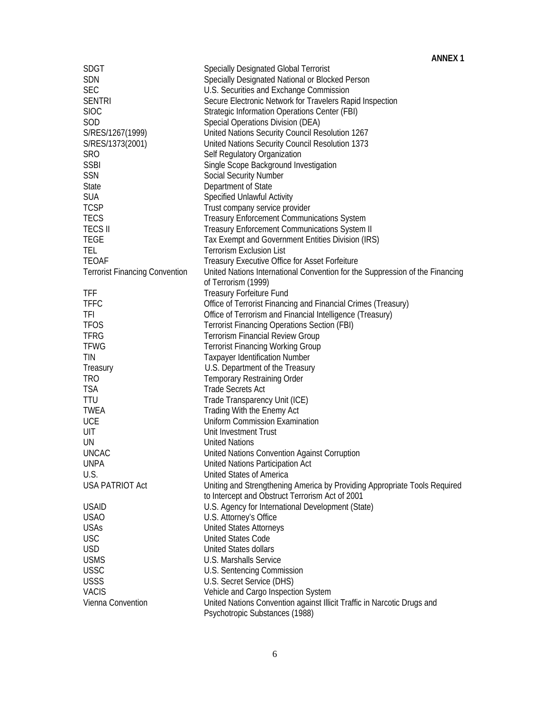| <b>SDGT</b>                           | <b>Specially Designated Global Terrorist</b>                                                              |
|---------------------------------------|-----------------------------------------------------------------------------------------------------------|
| <b>SDN</b>                            | Specially Designated National or Blocked Person                                                           |
| <b>SEC</b>                            | U.S. Securities and Exchange Commission                                                                   |
| <b>SENTRI</b>                         | Secure Electronic Network for Travelers Rapid Inspection                                                  |
| <b>SIOC</b>                           | Strategic Information Operations Center (FBI)                                                             |
| SOD                                   | Special Operations Division (DEA)                                                                         |
| S/RES/1267(1999)                      | United Nations Security Council Resolution 1267                                                           |
| S/RES/1373(2001)                      | United Nations Security Council Resolution 1373                                                           |
| <b>SRO</b>                            | Self Regulatory Organization                                                                              |
| <b>SSBI</b>                           | Single Scope Background Investigation                                                                     |
| <b>SSN</b>                            | Social Security Number                                                                                    |
| State                                 | Department of State                                                                                       |
| <b>SUA</b>                            | <b>Specified Unlawful Activity</b>                                                                        |
| <b>TCSP</b>                           |                                                                                                           |
|                                       | Trust company service provider                                                                            |
| <b>TECS</b>                           | <b>Treasury Enforcement Communications System</b>                                                         |
| <b>TECS II</b>                        | Treasury Enforcement Communications System II                                                             |
| <b>TEGE</b>                           | Tax Exempt and Government Entities Division (IRS)                                                         |
| TEL                                   | <b>Terrorism Exclusion List</b>                                                                           |
| <b>TEOAF</b>                          | Treasury Executive Office for Asset Forfeiture                                                            |
| <b>Terrorist Financing Convention</b> | United Nations International Convention for the Suppression of the Financing                              |
|                                       | of Terrorism (1999)                                                                                       |
| <b>TFF</b>                            | Treasury Forfeiture Fund                                                                                  |
| <b>TFFC</b>                           | Office of Terrorist Financing and Financial Crimes (Treasury)                                             |
| TFI                                   | Office of Terrorism and Financial Intelligence (Treasury)                                                 |
| <b>TFOS</b>                           | <b>Terrorist Financing Operations Section (FBI)</b>                                                       |
| <b>TFRG</b>                           | <b>Terrorism Financial Review Group</b>                                                                   |
| <b>TFWG</b>                           | <b>Terrorist Financing Working Group</b>                                                                  |
| <b>TIN</b>                            | <b>Taxpayer Identification Number</b>                                                                     |
| Treasury                              | U.S. Department of the Treasury                                                                           |
| <b>TRO</b>                            | Temporary Restraining Order                                                                               |
| <b>TSA</b>                            | <b>Trade Secrets Act</b>                                                                                  |
| <b>TTU</b>                            | Trade Transparency Unit (ICE)                                                                             |
| <b>TWEA</b>                           | Trading With the Enemy Act                                                                                |
| <b>UCE</b>                            | Uniform Commission Examination                                                                            |
| UIT                                   | Unit Investment Trust                                                                                     |
| UN                                    | <b>United Nations</b>                                                                                     |
| <b>UNCAC</b>                          | United Nations Convention Against Corruption                                                              |
| <b>UNPA</b>                           | United Nations Participation Act                                                                          |
| U.S.                                  | United States of America                                                                                  |
| <b>USA PATRIOT Act</b>                | Uniting and Strengthening America by Providing Appropriate Tools Required                                 |
|                                       | to Intercept and Obstruct Terrorism Act of 2001                                                           |
| <b>USAID</b>                          | U.S. Agency for International Development (State)                                                         |
| <b>USAO</b>                           | U.S. Attorney's Office                                                                                    |
| <b>USAs</b>                           | <b>United States Attorneys</b>                                                                            |
| <b>USC</b>                            | <b>United States Code</b>                                                                                 |
| <b>USD</b>                            | United States dollars                                                                                     |
| <b>USMS</b>                           | U.S. Marshalls Service                                                                                    |
| <b>USSC</b>                           |                                                                                                           |
|                                       | U.S. Sentencing Commission                                                                                |
| <b>USSS</b>                           | U.S. Secret Service (DHS)                                                                                 |
| <b>VACIS</b>                          | Vehicle and Cargo Inspection System                                                                       |
| Vienna Convention                     | United Nations Convention against Illicit Traffic in Narcotic Drugs and<br>Psychotropic Substances (1988) |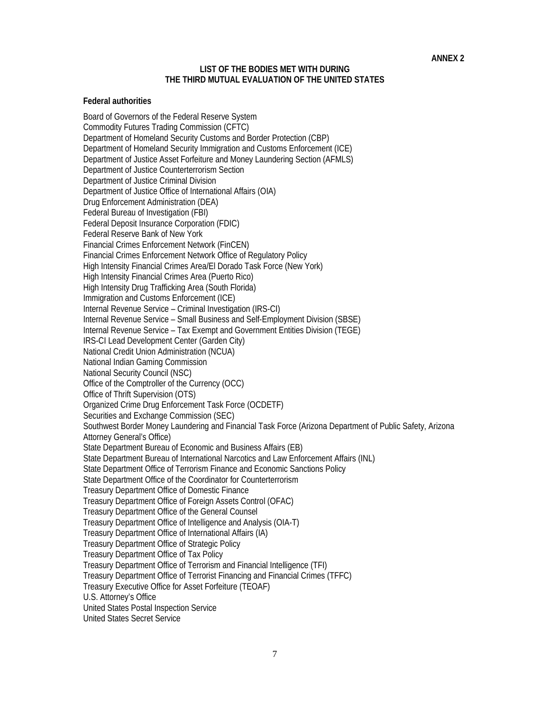# **LIST OF THE BODIES MET WITH DURING THE THIRD MUTUAL EVALUATION OF THE UNITED STATES**

#### **Federal authorities**

Board of Governors of the Federal Reserve System Commodity Futures Trading Commission (CFTC) Department of Homeland Security Customs and Border Protection (CBP) Department of Homeland Security Immigration and Customs Enforcement (ICE) Department of Justice Asset Forfeiture and Money Laundering Section (AFMLS) Department of Justice Counterterrorism Section Department of Justice Criminal Division Department of Justice Office of International Affairs (OIA) Drug Enforcement Administration (DEA) Federal Bureau of Investigation (FBI) Federal Deposit Insurance Corporation (FDIC) Federal Reserve Bank of New York Financial Crimes Enforcement Network (FinCEN) Financial Crimes Enforcement Network Office of Regulatory Policy High Intensity Financial Crimes Area/El Dorado Task Force (New York) High Intensity Financial Crimes Area (Puerto Rico) High Intensity Drug Trafficking Area (South Florida) Immigration and Customs Enforcement (ICE) Internal Revenue Service – Criminal Investigation (IRS-CI) Internal Revenue Service – Small Business and Self-Employment Division (SBSE) Internal Revenue Service – Tax Exempt and Government Entities Division (TEGE) IRS-CI Lead Development Center (Garden City) National Credit Union Administration (NCUA) National Indian Gaming Commission National Security Council (NSC) Office of the Comptroller of the Currency (OCC) Office of Thrift Supervision (OTS) Organized Crime Drug Enforcement Task Force (OCDETF) Securities and Exchange Commission (SEC) Southwest Border Money Laundering and Financial Task Force (Arizona Department of Public Safety, Arizona Attorney General's Office) State Department Bureau of Economic and Business Affairs (EB) State Department Bureau of International Narcotics and Law Enforcement Affairs (INL) State Department Office of Terrorism Finance and Economic Sanctions Policy State Department Office of the Coordinator for Counterterrorism Treasury Department Office of Domestic Finance Treasury Department Office of Foreign Assets Control (OFAC) Treasury Department Office of the General Counsel Treasury Department Office of Intelligence and Analysis (OIA-T) Treasury Department Office of International Affairs (IA) Treasury Department Office of Strategic Policy Treasury Department Office of Tax Policy Treasury Department Office of Terrorism and Financial Intelligence (TFI) Treasury Department Office of Terrorist Financing and Financial Crimes (TFFC) Treasury Executive Office for Asset Forfeiture (TEOAF) U.S. Attorney's Office United States Postal Inspection Service United States Secret Service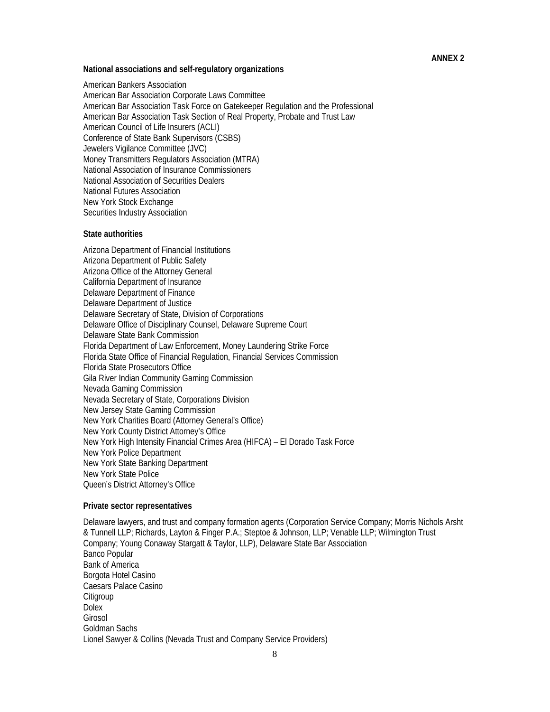#### **National associations and self-regulatory organizations**

American Bankers Association American Bar Association Corporate Laws Committee American Bar Association Task Force on Gatekeeper Regulation and the Professional American Bar Association Task Section of Real Property, Probate and Trust Law American Council of Life Insurers (ACLI) Conference of State Bank Supervisors (CSBS) Jewelers Vigilance Committee (JVC) Money Transmitters Regulators Association (MTRA) National Association of Insurance Commissioners National Association of Securities Dealers National Futures Association New York Stock Exchange Securities Industry Association

# **State authorities**

Arizona Department of Financial Institutions Arizona Department of Public Safety Arizona Office of the Attorney General California Department of Insurance Delaware Department of Finance Delaware Department of Justice Delaware Secretary of State, Division of Corporations Delaware Office of Disciplinary Counsel, Delaware Supreme Court Delaware State Bank Commission Florida Department of Law Enforcement, Money Laundering Strike Force Florida State Office of Financial Regulation, Financial Services Commission Florida State Prosecutors Office Gila River Indian Community Gaming Commission Nevada Gaming Commission Nevada Secretary of State, Corporations Division New Jersey State Gaming Commission New York Charities Board (Attorney General's Office) New York County District Attorney's Office New York High Intensity Financial Crimes Area (HIFCA) – El Dorado Task Force New York Police Department New York State Banking Department New York State Police Queen's District Attorney's Office

#### **Private sector representatives**

Delaware lawyers, and trust and company formation agents (Corporation Service Company; Morris Nichols Arsht & Tunnell LLP; Richards, Layton & Finger P.A.; Steptoe & Johnson, LLP; Venable LLP; Wilmington Trust Company; Young Conaway Stargatt & Taylor, LLP), Delaware State Bar Association Banco Popular Bank of America Borgota Hotel Casino Caesars Palace Casino **Citigroup** Dolex Girosol Goldman Sachs Lionel Sawyer & Collins (Nevada Trust and Company Service Providers)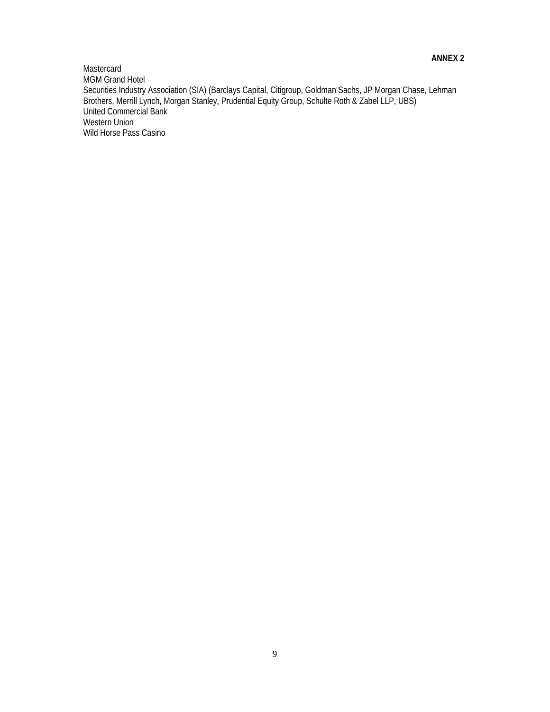Mastercard MGM Grand Hotel Securities Industry Association (SIA) (Barclays Capital, Citigroup, Goldman Sachs, JP Morgan Chase, Lehman Brothers, Merrill Lynch, Morgan Stanley, Prudential Equity Group, Schulte Roth & Zabel LLP, UBS) United Commercial Bank Western Union Wild Horse Pass Casino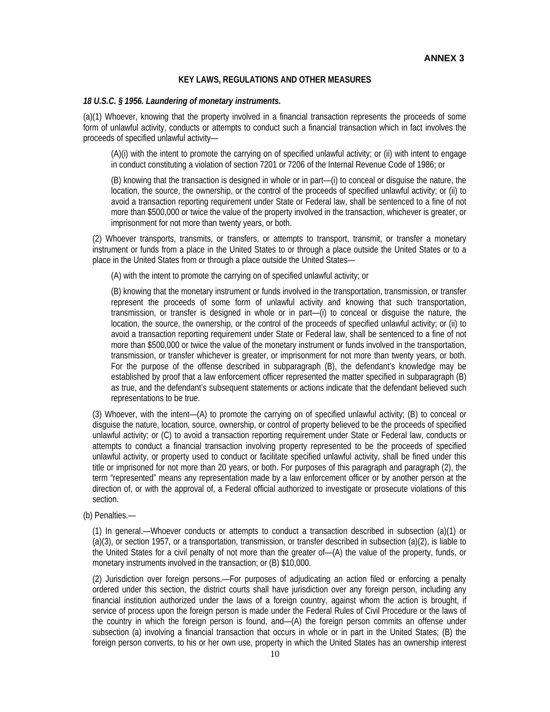# **KEY LAWS, REGULATIONS AND OTHER MEASURES**

#### *18 U.S.C. § 1956. Laundering of monetary instruments.*

(a)(1) Whoever, knowing that the property involved in a financial transaction represents the proceeds of some form of unlawful activity, conducts or attempts to conduct such a financial transaction which in fact involves the proceeds of specified unlawful activity—

(A)(i) with the intent to promote the carrying on of specified unlawful activity; or (ii) with intent to engage in conduct constituting a violation of section 7201 or 7206 of the Internal Revenue Code of 1986; or

(B) knowing that the transaction is designed in whole or in part—(i) to conceal or disguise the nature, the location, the source, the ownership, or the control of the proceeds of specified unlawful activity; or (ii) to avoid a transaction reporting requirement under State or Federal law, shall be sentenced to a fine of not more than \$500,000 or twice the value of the property involved in the transaction, whichever is greater, or imprisonment for not more than twenty years, or both.

(2) Whoever transports, transmits, or transfers, or attempts to transport, transmit, or transfer a monetary instrument or funds from a place in the United States to or through a place outside the United States or to a place in the United States from or through a place outside the United States—

(A) with the intent to promote the carrying on of specified unlawful activity; or

(B) knowing that the monetary instrument or funds involved in the transportation, transmission, or transfer represent the proceeds of some form of unlawful activity and knowing that such transportation, transmission, or transfer is designed in whole or in part—(i) to conceal or disguise the nature, the location, the source, the ownership, or the control of the proceeds of specified unlawful activity; or (ii) to avoid a transaction reporting requirement under State or Federal law, shall be sentenced to a fine of not more than \$500,000 or twice the value of the monetary instrument or funds involved in the transportation, transmission, or transfer whichever is greater, or imprisonment for not more than twenty years, or both. For the purpose of the offense described in subparagraph (B), the defendant's knowledge may be established by proof that a law enforcement officer represented the matter specified in subparagraph (B) as true, and the defendant's subsequent statements or actions indicate that the defendant believed such representations to be true.

(3) Whoever, with the intent—(A) to promote the carrying on of specified unlawful activity; (B) to conceal or disguise the nature, location, source, ownership, or control of property believed to be the proceeds of specified unlawful activity; or (C) to avoid a transaction reporting requirement under State or Federal law, conducts or attempts to conduct a financial transaction involving property represented to be the proceeds of specified unlawful activity, or property used to conduct or facilitate specified unlawful activity, shall be fined under this title or imprisoned for not more than 20 years, or both. For purposes of this paragraph and paragraph (2), the term "represented" means any representation made by a law enforcement officer or by another person at the direction of, or with the approval of, a Federal official authorized to investigate or prosecute violations of this section.

(b) Penalties.—

(1) In general.—Whoever conducts or attempts to conduct a transaction described in subsection (a)(1) or  $(a)(3)$ , or section 1957, or a transportation, transmission, or transfer described in subsection  $(a)(2)$ , is liable to the United States for a civil penalty of not more than the greater of—(A) the value of the property, funds, or monetary instruments involved in the transaction; or (B) \$10,000.

(2) Jurisdiction over foreign persons.—For purposes of adjudicating an action filed or enforcing a penalty ordered under this section, the district courts shall have jurisdiction over any foreign person, including any financial institution authorized under the laws of a foreign country, against whom the action is brought, if service of process upon the foreign person is made under the Federal Rules of Civil Procedure or the laws of the country in which the foreign person is found, and—(A) the foreign person commits an offense under subsection (a) involving a financial transaction that occurs in whole or in part in the United States; (B) the foreign person converts, to his or her own use, property in which the United States has an ownership interest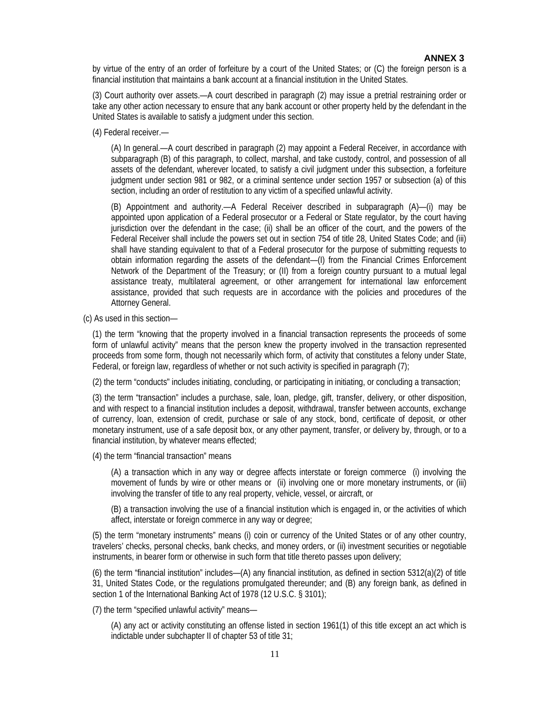by virtue of the entry of an order of forfeiture by a court of the United States; or (C) the foreign person is a financial institution that maintains a bank account at a financial institution in the United States.

(3) Court authority over assets.—A court described in paragraph (2) may issue a pretrial restraining order or take any other action necessary to ensure that any bank account or other property held by the defendant in the United States is available to satisfy a judgment under this section.

(4) Federal receiver.—

(A) In general.—A court described in paragraph (2) may appoint a Federal Receiver, in accordance with subparagraph (B) of this paragraph, to collect, marshal, and take custody, control, and possession of all assets of the defendant, wherever located, to satisfy a civil judgment under this subsection, a forfeiture judgment under section 981 or 982, or a criminal sentence under section 1957 or subsection (a) of this section, including an order of restitution to any victim of a specified unlawful activity.

(B) Appointment and authority.—A Federal Receiver described in subparagraph (A)—(i) may be appointed upon application of a Federal prosecutor or a Federal or State regulator, by the court having jurisdiction over the defendant in the case; (ii) shall be an officer of the court, and the powers of the Federal Receiver shall include the powers set out in section 754 of title 28, United States Code; and (iii) shall have standing equivalent to that of a Federal prosecutor for the purpose of submitting requests to obtain information regarding the assets of the defendant—(I) from the Financial Crimes Enforcement Network of the Department of the Treasury; or (II) from a foreign country pursuant to a mutual legal assistance treaty, multilateral agreement, or other arrangement for international law enforcement assistance, provided that such requests are in accordance with the policies and procedures of the Attorney General.

(c) As used in this section—

(1) the term "knowing that the property involved in a financial transaction represents the proceeds of some form of unlawful activity" means that the person knew the property involved in the transaction represented proceeds from some form, though not necessarily which form, of activity that constitutes a felony under State, Federal, or foreign law, regardless of whether or not such activity is specified in paragraph (7);

(2) the term "conducts" includes initiating, concluding, or participating in initiating, or concluding a transaction;

(3) the term "transaction" includes a purchase, sale, loan, pledge, gift, transfer, delivery, or other disposition, and with respect to a financial institution includes a deposit, withdrawal, transfer between accounts, exchange of currency, loan, extension of credit, purchase or sale of any stock, bond, certificate of deposit, or other monetary instrument, use of a safe deposit box, or any other payment, transfer, or delivery by, through, or to a financial institution, by whatever means effected;

(4) the term "financial transaction" means

(A) a transaction which in any way or degree affects interstate or foreign commerce (i) involving the movement of funds by wire or other means or (ii) involving one or more monetary instruments, or (iii) involving the transfer of title to any real property, vehicle, vessel, or aircraft, or

(B) a transaction involving the use of a financial institution which is engaged in, or the activities of which affect, interstate or foreign commerce in any way or degree;

(5) the term "monetary instruments" means (i) coin or currency of the United States or of any other country, travelers' checks, personal checks, bank checks, and money orders, or (ii) investment securities or negotiable instruments, in bearer form or otherwise in such form that title thereto passes upon delivery;

(6) the term "financial institution" includes—(A) any financial institution, as defined in section 5312(a)(2) of title 31, United States Code, or the regulations promulgated thereunder; and (B) any foreign bank, as defined in section 1 of the International Banking Act of 1978 (12 U.S.C. § 3101);

(7) the term "specified unlawful activity" means—

(A) any act or activity constituting an offense listed in section 1961(1) of this title except an act which is indictable under subchapter II of chapter 53 of title 31;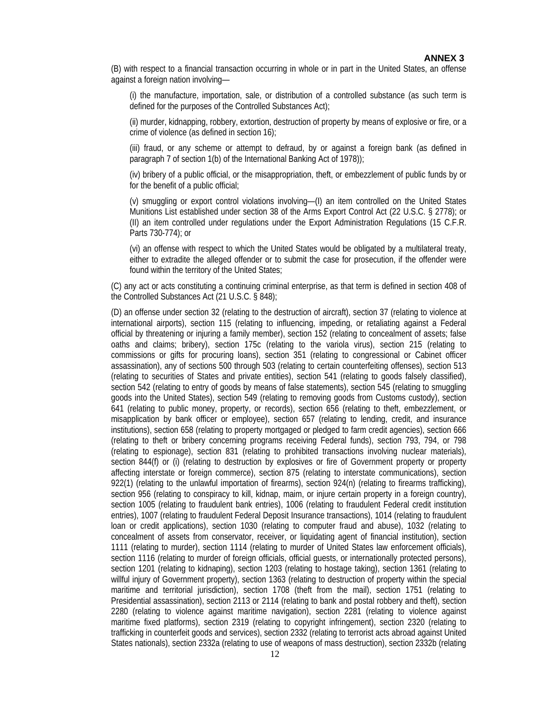(B) with respect to a financial transaction occurring in whole or in part in the United States, an offense against a foreign nation involving—

(i) the manufacture, importation, sale, or distribution of a controlled substance (as such term is defined for the purposes of the Controlled Substances Act);

(ii) murder, kidnapping, robbery, extortion, destruction of property by means of explosive or fire, or a crime of violence (as defined in section 16);

(iii) fraud, or any scheme or attempt to defraud, by or against a foreign bank (as defined in paragraph 7 of section 1(b) of the International Banking Act of 1978));

(iv) bribery of a public official, or the misappropriation, theft, or embezzlement of public funds by or for the benefit of a public official;

(v) smuggling or export control violations involving—(I) an item controlled on the United States Munitions List established under section 38 of the Arms Export Control Act (22 U.S.C. § 2778); or (II) an item controlled under regulations under the Export Administration Regulations (15 C.F.R. Parts 730-774); or

(vi) an offense with respect to which the United States would be obligated by a multilateral treaty, either to extradite the alleged offender or to submit the case for prosecution, if the offender were found within the territory of the United States;

(C) any act or acts constituting a continuing criminal enterprise, as that term is defined in section 408 of the Controlled Substances Act (21 U.S.C. § 848);

(D) an offense under section 32 (relating to the destruction of aircraft), section 37 (relating to violence at international airports), section 115 (relating to influencing, impeding, or retaliating against a Federal official by threatening or injuring a family member), section 152 (relating to concealment of assets; false oaths and claims; bribery), section 175c (relating to the variola virus), section 215 (relating to commissions or gifts for procuring loans), section 351 (relating to congressional or Cabinet officer assassination), any of sections 500 through 503 (relating to certain counterfeiting offenses), section 513 (relating to securities of States and private entities), section 541 (relating to goods falsely classified), section 542 (relating to entry of goods by means of false statements), section 545 (relating to smuggling goods into the United States), section 549 (relating to removing goods from Customs custody), section 641 (relating to public money, property, or records), section 656 (relating to theft, embezzlement, or misapplication by bank officer or employee), section 657 (relating to lending, credit, and insurance institutions), section 658 (relating to property mortgaged or pledged to farm credit agencies), section 666 (relating to theft or bribery concerning programs receiving Federal funds), section 793, 794, or 798 (relating to espionage), section 831 (relating to prohibited transactions involving nuclear materials), section 844(f) or (i) (relating to destruction by explosives or fire of Government property or property affecting interstate or foreign commerce), section 875 (relating to interstate communications), section 922(1) (relating to the unlawful importation of firearms), section 924(n) (relating to firearms trafficking), section 956 (relating to conspiracy to kill, kidnap, maim, or injure certain property in a foreign country), section 1005 (relating to fraudulent bank entries), 1006 (relating to fraudulent Federal credit institution entries), 1007 (relating to fraudulent Federal Deposit Insurance transactions), 1014 (relating to fraudulent loan or credit applications), section 1030 (relating to computer fraud and abuse), 1032 (relating to concealment of assets from conservator, receiver, or liquidating agent of financial institution), section 1111 (relating to murder), section 1114 (relating to murder of United States law enforcement officials), section 1116 (relating to murder of foreign officials, official guests, or internationally protected persons), section 1201 (relating to kidnaping), section 1203 (relating to hostage taking), section 1361 (relating to willful injury of Government property), section 1363 (relating to destruction of property within the special maritime and territorial jurisdiction), section 1708 (theft from the mail), section 1751 (relating to Presidential assassination), section 2113 or 2114 (relating to bank and postal robbery and theft), section 2280 (relating to violence against maritime navigation), section 2281 (relating to violence against maritime fixed platforms), section 2319 (relating to copyright infringement), section 2320 (relating to trafficking in counterfeit goods and services), section 2332 (relating to terrorist acts abroad against United States nationals), section 2332a (relating to use of weapons of mass destruction), section 2332b (relating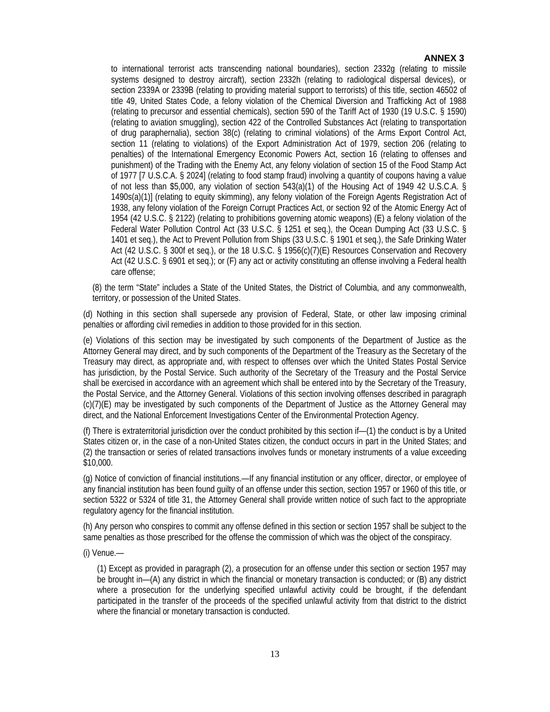to international terrorist acts transcending national boundaries), section 2332g (relating to missile systems designed to destroy aircraft), section 2332h (relating to radiological dispersal devices), or section 2339A or 2339B (relating to providing material support to terrorists) of this title, section 46502 of title 49, United States Code, a felony violation of the Chemical Diversion and Trafficking Act of 1988 (relating to precursor and essential chemicals), section 590 of the Tariff Act of 1930 (19 U.S.C. § 1590) (relating to aviation smuggling), section 422 of the Controlled Substances Act (relating to transportation of drug paraphernalia), section 38(c) (relating to criminal violations) of the Arms Export Control Act, section 11 (relating to violations) of the Export Administration Act of 1979, section 206 (relating to penalties) of the International Emergency Economic Powers Act, section 16 (relating to offenses and punishment) of the Trading with the Enemy Act, any felony violation of section 15 of the Food Stamp Act of 1977 [7 U.S.C.A. § 2024] (relating to food stamp fraud) involving a quantity of coupons having a value of not less than \$5,000, any violation of section 543(a)(1) of the Housing Act of 1949 42 U.S.C.A. § 1490s(a)(1)] (relating to equity skimming), any felony violation of the Foreign Agents Registration Act of 1938, any felony violation of the Foreign Corrupt Practices Act, or section 92 of the Atomic Energy Act of 1954 (42 U.S.C. § 2122) (relating to prohibitions governing atomic weapons) (E) a felony violation of the Federal Water Pollution Control Act (33 U.S.C. § 1251 et seq.), the Ocean Dumping Act (33 U.S.C. § 1401 et seq.), the Act to Prevent Pollution from Ships (33 U.S.C. § 1901 et seq.), the Safe Drinking Water Act (42 U.S.C. § 300f et seq.), or the 18 U.S.C. § 1956(c)(7)(E) Resources Conservation and Recovery Act (42 U.S.C. § 6901 et seq.); or (F) any act or activity constituting an offense involving a Federal health care offense;

(8) the term "State" includes a State of the United States, the District of Columbia, and any commonwealth, territory, or possession of the United States.

(d) Nothing in this section shall supersede any provision of Federal, State, or other law imposing criminal penalties or affording civil remedies in addition to those provided for in this section.

(e) Violations of this section may be investigated by such components of the Department of Justice as the Attorney General may direct, and by such components of the Department of the Treasury as the Secretary of the Treasury may direct, as appropriate and, with respect to offenses over which the United States Postal Service has jurisdiction, by the Postal Service. Such authority of the Secretary of the Treasury and the Postal Service shall be exercised in accordance with an agreement which shall be entered into by the Secretary of the Treasury, the Postal Service, and the Attorney General. Violations of this section involving offenses described in paragraph (c)(7)(E) may be investigated by such components of the Department of Justice as the Attorney General may direct, and the National Enforcement Investigations Center of the Environmental Protection Agency.

(f) There is extraterritorial jurisdiction over the conduct prohibited by this section if—(1) the conduct is by a United States citizen or, in the case of a non-United States citizen, the conduct occurs in part in the United States; and (2) the transaction or series of related transactions involves funds or monetary instruments of a value exceeding \$10,000.

(g) Notice of conviction of financial institutions.—If any financial institution or any officer, director, or employee of any financial institution has been found guilty of an offense under this section, section 1957 or 1960 of this title, or section 5322 or 5324 of title 31, the Attorney General shall provide written notice of such fact to the appropriate regulatory agency for the financial institution.

(h) Any person who conspires to commit any offense defined in this section or section 1957 shall be subject to the same penalties as those prescribed for the offense the commission of which was the object of the conspiracy.

(i) Venue.—

(1) Except as provided in paragraph (2), a prosecution for an offense under this section or section 1957 may be brought in—(A) any district in which the financial or monetary transaction is conducted; or (B) any district where a prosecution for the underlying specified unlawful activity could be brought, if the defendant participated in the transfer of the proceeds of the specified unlawful activity from that district to the district where the financial or monetary transaction is conducted.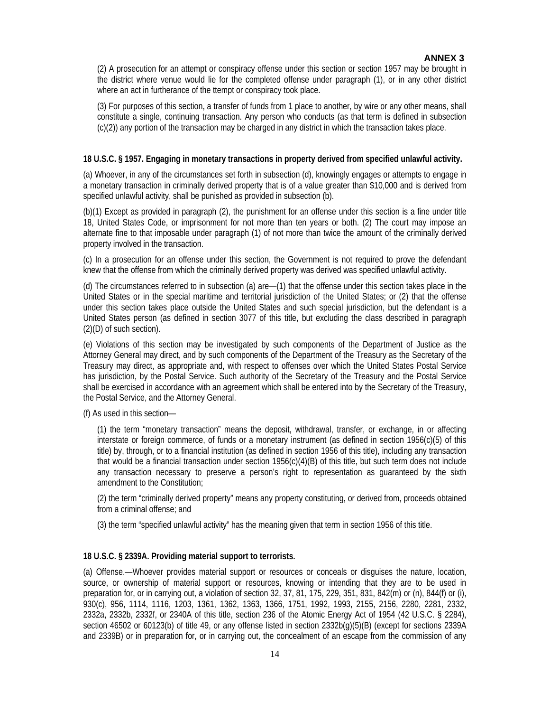(2) A prosecution for an attempt or conspiracy offense under this section or section 1957 may be brought in the district where venue would lie for the completed offense under paragraph (1), or in any other district where an act in furtherance of the ttempt or conspiracy took place.

(3) For purposes of this section, a transfer of funds from 1 place to another, by wire or any other means, shall constitute a single, continuing transaction. Any person who conducts (as that term is defined in subsection (c)(2)) any portion of the transaction may be charged in any district in which the transaction takes place.

# **18 U.S.C. § 1957. Engaging in monetary transactions in property derived from specified unlawful activity.**

(a) Whoever, in any of the circumstances set forth in subsection (d), knowingly engages or attempts to engage in a monetary transaction in criminally derived property that is of a value greater than \$10,000 and is derived from specified unlawful activity, shall be punished as provided in subsection (b).

(b)(1) Except as provided in paragraph (2), the punishment for an offense under this section is a fine under title 18, United States Code, or imprisonment for not more than ten years or both. (2) The court may impose an alternate fine to that imposable under paragraph (1) of not more than twice the amount of the criminally derived property involved in the transaction.

(c) In a prosecution for an offense under this section, the Government is not required to prove the defendant knew that the offense from which the criminally derived property was derived was specified unlawful activity.

(d) The circumstances referred to in subsection (a) are—(1) that the offense under this section takes place in the United States or in the special maritime and territorial jurisdiction of the United States; or (2) that the offense under this section takes place outside the United States and such special jurisdiction, but the defendant is a United States person (as defined in section 3077 of this title, but excluding the class described in paragraph (2)(D) of such section).

(e) Violations of this section may be investigated by such components of the Department of Justice as the Attorney General may direct, and by such components of the Department of the Treasury as the Secretary of the Treasury may direct, as appropriate and, with respect to offenses over which the United States Postal Service has jurisdiction, by the Postal Service. Such authority of the Secretary of the Treasury and the Postal Service shall be exercised in accordance with an agreement which shall be entered into by the Secretary of the Treasury, the Postal Service, and the Attorney General.

(f) As used in this section—

(1) the term "monetary transaction" means the deposit, withdrawal, transfer, or exchange, in or affecting interstate or foreign commerce, of funds or a monetary instrument (as defined in section 1956(c)(5) of this title) by, through, or to a financial institution (as defined in section 1956 of this title), including any transaction that would be a financial transaction under section 1956(c)(4)(B) of this title, but such term does not include any transaction necessary to preserve a person's right to representation as guaranteed by the sixth amendment to the Constitution;

(2) the term "criminally derived property" means any property constituting, or derived from, proceeds obtained from a criminal offense; and

(3) the term "specified unlawful activity" has the meaning given that term in section 1956 of this title.

# **18 U.S.C. § 2339A. Providing material support to terrorists.**

(a) Offense.—Whoever provides material support or resources or conceals or disguises the nature, location, source, or ownership of material support or resources, knowing or intending that they are to be used in preparation for, or in carrying out, a violation of section 32, 37, 81, 175, 229, 351, 831, 842(m) or (n), 844(f) or (i), 930(c), 956, 1114, 1116, 1203, 1361, 1362, 1363, 1366, 1751, 1992, 1993, 2155, 2156, 2280, 2281, 2332, 2332a, 2332b, 2332f, or 2340A of this title, section 236 of the Atomic Energy Act of 1954 (42 U.S.C. § 2284), section 46502 or 60123(b) of title 49, or any offense listed in section 2332b(g)(5)(B) (except for sections 2339A and 2339B) or in preparation for, or in carrying out, the concealment of an escape from the commission of any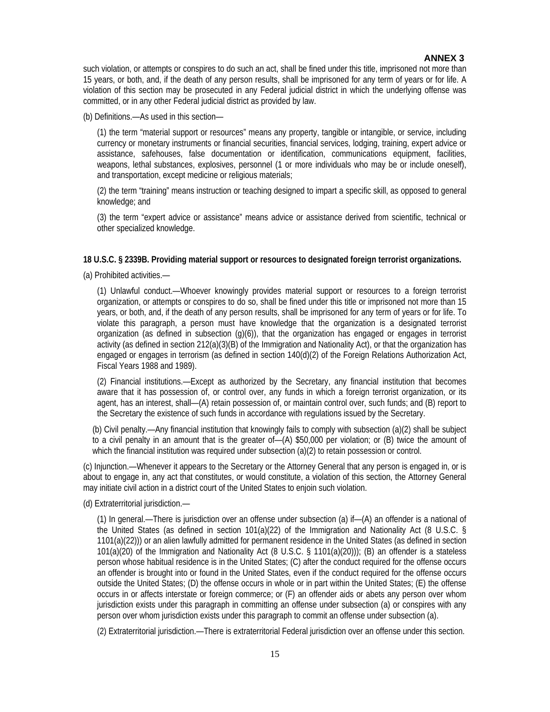such violation, or attempts or conspires to do such an act, shall be fined under this title, imprisoned not more than 15 years, or both, and, if the death of any person results, shall be imprisoned for any term of years or for life. A violation of this section may be prosecuted in any Federal judicial district in which the underlying offense was committed, or in any other Federal judicial district as provided by law.

(b) Definitions.—As used in this section—

(1) the term "material support or resources" means any property, tangible or intangible, or service, including currency or monetary instruments or financial securities, financial services, lodging, training, expert advice or assistance, safehouses, false documentation or identification, communications equipment, facilities, weapons, lethal substances, explosives, personnel (1 or more individuals who may be or include oneself), and transportation, except medicine or religious materials;

(2) the term "training" means instruction or teaching designed to impart a specific skill, as opposed to general knowledge; and

(3) the term "expert advice or assistance" means advice or assistance derived from scientific, technical or other specialized knowledge.

# **18 U.S.C. § 2339B. Providing material support or resources to designated foreign terrorist organizations.**

(a) Prohibited activities.—

(1) Unlawful conduct.—Whoever knowingly provides material support or resources to a foreign terrorist organization, or attempts or conspires to do so, shall be fined under this title or imprisoned not more than 15 years, or both, and, if the death of any person results, shall be imprisoned for any term of years or for life. To violate this paragraph, a person must have knowledge that the organization is a designated terrorist organization (as defined in subsection  $(q)(6)$ ), that the organization has engaged or engages in terrorist activity (as defined in section 212(a)(3)(B) of the Immigration and Nationality Act), or that the organization has engaged or engages in terrorism (as defined in section 140(d)(2) of the Foreign Relations Authorization Act, Fiscal Years 1988 and 1989).

(2) Financial institutions.—Except as authorized by the Secretary, any financial institution that becomes aware that it has possession of, or control over, any funds in which a foreign terrorist organization, or its agent, has an interest, shall—(A) retain possession of, or maintain control over, such funds; and (B) report to the Secretary the existence of such funds in accordance with regulations issued by the Secretary.

(b) Civil penalty.—Any financial institution that knowingly fails to comply with subsection (a)(2) shall be subject to a civil penalty in an amount that is the greater of—(A) \$50,000 per violation; or (B) twice the amount of which the financial institution was required under subsection (a)(2) to retain possession or control.

(c) Injunction.—Whenever it appears to the Secretary or the Attorney General that any person is engaged in, or is about to engage in, any act that constitutes, or would constitute, a violation of this section, the Attorney General may initiate civil action in a district court of the United States to enjoin such violation.

(d) Extraterritorial jurisdiction.—

(1) In general.—There is jurisdiction over an offense under subsection (a) if—(A) an offender is a national of the United States (as defined in section 101(a)(22) of the Immigration and Nationality Act (8 U.S.C. § 1101(a)(22))) or an alien lawfully admitted for permanent residence in the United States (as defined in section 101(a)(20) of the Immigration and Nationality Act (8 U.S.C. § 1101(a)(20))); (B) an offender is a stateless person whose habitual residence is in the United States; (C) after the conduct required for the offense occurs an offender is brought into or found in the United States, even if the conduct required for the offense occurs outside the United States; (D) the offense occurs in whole or in part within the United States; (E) the offense occurs in or affects interstate or foreign commerce; or (F) an offender aids or abets any person over whom jurisdiction exists under this paragraph in committing an offense under subsection (a) or conspires with any person over whom jurisdiction exists under this paragraph to commit an offense under subsection (a).

(2) Extraterritorial jurisdiction.—There is extraterritorial Federal jurisdiction over an offense under this section.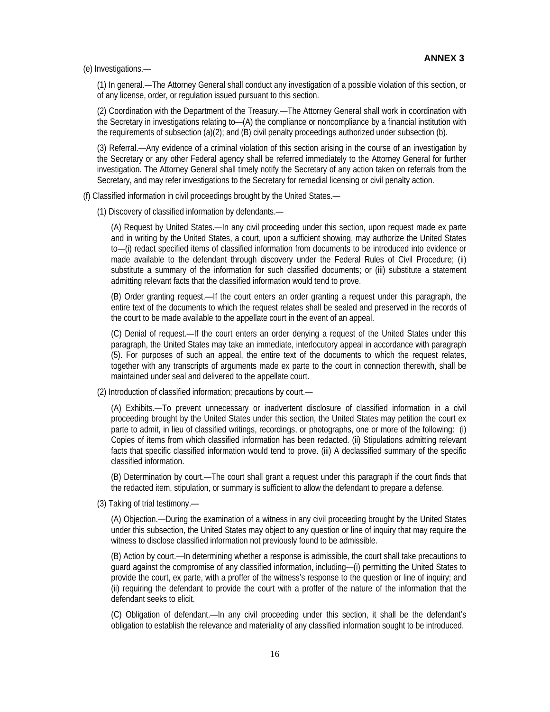(e) Investigations.—

(1) In general.—The Attorney General shall conduct any investigation of a possible violation of this section, or of any license, order, or regulation issued pursuant to this section.

(2) Coordination with the Department of the Treasury.—The Attorney General shall work in coordination with the Secretary in investigations relating to—(A) the compliance or noncompliance by a financial institution with the requirements of subsection (a)(2); and (B) civil penalty proceedings authorized under subsection (b).

(3) Referral.—Any evidence of a criminal violation of this section arising in the course of an investigation by the Secretary or any other Federal agency shall be referred immediately to the Attorney General for further investigation. The Attorney General shall timely notify the Secretary of any action taken on referrals from the Secretary, and may refer investigations to the Secretary for remedial licensing or civil penalty action.

(f) Classified information in civil proceedings brought by the United States.—

(1) Discovery of classified information by defendants.—

(A) Request by United States.—In any civil proceeding under this section, upon request made ex parte and in writing by the United States, a court, upon a sufficient showing, may authorize the United States to—(i) redact specified items of classified information from documents to be introduced into evidence or made available to the defendant through discovery under the Federal Rules of Civil Procedure; (ii) substitute a summary of the information for such classified documents; or (iii) substitute a statement admitting relevant facts that the classified information would tend to prove.

(B) Order granting request.—If the court enters an order granting a request under this paragraph, the entire text of the documents to which the request relates shall be sealed and preserved in the records of the court to be made available to the appellate court in the event of an appeal.

(C) Denial of request.—If the court enters an order denying a request of the United States under this paragraph, the United States may take an immediate, interlocutory appeal in accordance with paragraph (5). For purposes of such an appeal, the entire text of the documents to which the request relates, together with any transcripts of arguments made ex parte to the court in connection therewith, shall be maintained under seal and delivered to the appellate court.

(2) Introduction of classified information; precautions by court.—

(A) Exhibits.—To prevent unnecessary or inadvertent disclosure of classified information in a civil proceeding brought by the United States under this section, the United States may petition the court ex parte to admit, in lieu of classified writings, recordings, or photographs, one or more of the following: (i) Copies of items from which classified information has been redacted. (ii) Stipulations admitting relevant facts that specific classified information would tend to prove. (iii) A declassified summary of the specific classified information.

(B) Determination by court.—The court shall grant a request under this paragraph if the court finds that the redacted item, stipulation, or summary is sufficient to allow the defendant to prepare a defense.

(3) Taking of trial testimony.—

(A) Objection.—During the examination of a witness in any civil proceeding brought by the United States under this subsection, the United States may object to any question or line of inquiry that may require the witness to disclose classified information not previously found to be admissible.

(B) Action by court.—In determining whether a response is admissible, the court shall take precautions to guard against the compromise of any classified information, including—(i) permitting the United States to provide the court, ex parte, with a proffer of the witness's response to the question or line of inquiry; and (ii) requiring the defendant to provide the court with a proffer of the nature of the information that the defendant seeks to elicit.

(C) Obligation of defendant.—In any civil proceeding under this section, it shall be the defendant's obligation to establish the relevance and materiality of any classified information sought to be introduced.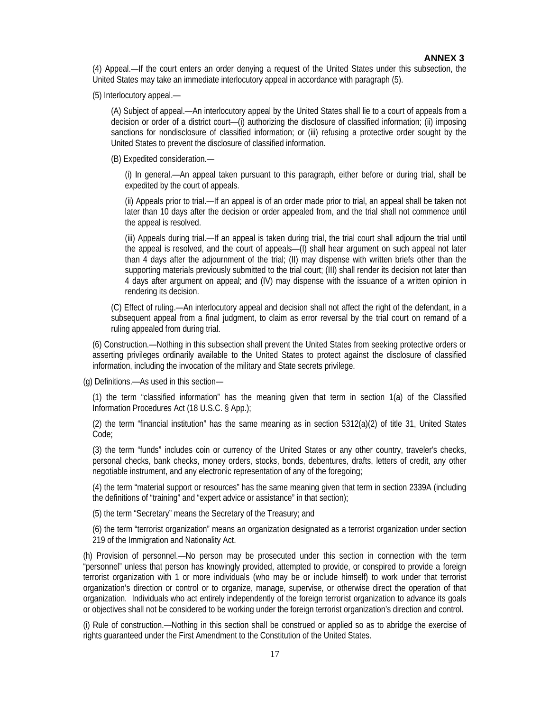(4) Appeal.—If the court enters an order denying a request of the United States under this subsection, the United States may take an immediate interlocutory appeal in accordance with paragraph (5).

(5) Interlocutory appeal.—

(A) Subject of appeal.—An interlocutory appeal by the United States shall lie to a court of appeals from a decision or order of a district court—(i) authorizing the disclosure of classified information; (ii) imposing sanctions for nondisclosure of classified information; or (iii) refusing a protective order sought by the United States to prevent the disclosure of classified information.

(B) Expedited consideration.—

(i) In general.—An appeal taken pursuant to this paragraph, either before or during trial, shall be expedited by the court of appeals.

(ii) Appeals prior to trial.—If an appeal is of an order made prior to trial, an appeal shall be taken not later than 10 days after the decision or order appealed from, and the trial shall not commence until the appeal is resolved.

(iii) Appeals during trial.—If an appeal is taken during trial, the trial court shall adjourn the trial until the appeal is resolved, and the court of appeals—(I) shall hear argument on such appeal not later than 4 days after the adjournment of the trial; (II) may dispense with written briefs other than the supporting materials previously submitted to the trial court; (III) shall render its decision not later than 4 days after argument on appeal; and (IV) may dispense with the issuance of a written opinion in rendering its decision.

(C) Effect of ruling.—An interlocutory appeal and decision shall not affect the right of the defendant, in a subsequent appeal from a final judgment, to claim as error reversal by the trial court on remand of a ruling appealed from during trial.

(6) Construction.—Nothing in this subsection shall prevent the United States from seeking protective orders or asserting privileges ordinarily available to the United States to protect against the disclosure of classified information, including the invocation of the military and State secrets privilege.

(g) Definitions.—As used in this section—

(1) the term "classified information" has the meaning given that term in section 1(a) of the Classified Information Procedures Act (18 U.S.C. § App.);

(2) the term "financial institution" has the same meaning as in section 5312(a)(2) of title 31, United States Code;

(3) the term "funds" includes coin or currency of the United States or any other country, traveler's checks, personal checks, bank checks, money orders, stocks, bonds, debentures, drafts, letters of credit, any other negotiable instrument, and any electronic representation of any of the foregoing;

(4) the term "material support or resources" has the same meaning given that term in section 2339A (including the definitions of "training" and "expert advice or assistance" in that section);

(5) the term "Secretary" means the Secretary of the Treasury; and

(6) the term "terrorist organization" means an organization designated as a terrorist organization under section 219 of the Immigration and Nationality Act.

(h) Provision of personnel.—No person may be prosecuted under this section in connection with the term "personnel" unless that person has knowingly provided, attempted to provide, or conspired to provide a foreign terrorist organization with 1 or more individuals (who may be or include himself) to work under that terrorist organization's direction or control or to organize, manage, supervise, or otherwise direct the operation of that organization. Individuals who act entirely independently of the foreign terrorist organization to advance its goals or objectives shall not be considered to be working under the foreign terrorist organization's direction and control.

(i) Rule of construction.—Nothing in this section shall be construed or applied so as to abridge the exercise of rights guaranteed under the First Amendment to the Constitution of the United States.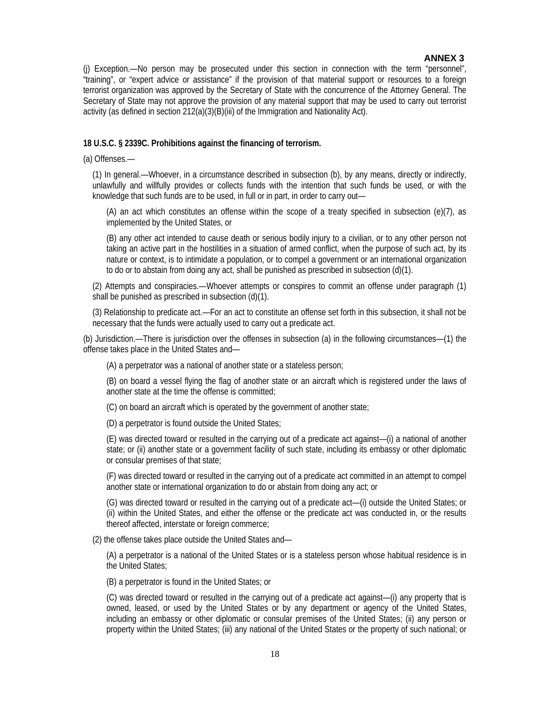(j) Exception.—No person may be prosecuted under this section in connection with the term "personnel", "training", or "expert advice or assistance" if the provision of that material support or resources to a foreign terrorist organization was approved by the Secretary of State with the concurrence of the Attorney General. The Secretary of State may not approve the provision of any material support that may be used to carry out terrorist activity (as defined in section 212(a)(3)(B)(iii) of the Immigration and Nationality Act).

# **18 U.S.C. § 2339C. Prohibitions against the financing of terrorism.**

(a) Offenses.—

(1) In general.—Whoever, in a circumstance described in subsection (b), by any means, directly or indirectly, unlawfully and willfully provides or collects funds with the intention that such funds be used, or with the knowledge that such funds are to be used, in full or in part, in order to carry out—

(A) an act which constitutes an offense within the scope of a treaty specified in subsection (e)(7), as implemented by the United States, or

(B) any other act intended to cause death or serious bodily injury to a civilian, or to any other person not taking an active part in the hostilities in a situation of armed conflict, when the purpose of such act, by its nature or context, is to intimidate a population, or to compel a government or an international organization to do or to abstain from doing any act, shall be punished as prescribed in subsection (d)(1).

(2) Attempts and conspiracies.—Whoever attempts or conspires to commit an offense under paragraph (1) shall be punished as prescribed in subsection (d)(1).

(3) Relationship to predicate act.—For an act to constitute an offense set forth in this subsection, it shall not be necessary that the funds were actually used to carry out a predicate act.

(b) Jurisdiction.—There is jurisdiction over the offenses in subsection (a) in the following circumstances—(1) the offense takes place in the United States and—

(A) a perpetrator was a national of another state or a stateless person;

(B) on board a vessel flying the flag of another state or an aircraft which is registered under the laws of another state at the time the offense is committed;

(C) on board an aircraft which is operated by the government of another state;

(D) a perpetrator is found outside the United States;

(E) was directed toward or resulted in the carrying out of a predicate act against—(i) a national of another state; or (ii) another state or a government facility of such state, including its embassy or other diplomatic or consular premises of that state;

(F) was directed toward or resulted in the carrying out of a predicate act committed in an attempt to compel another state or international organization to do or abstain from doing any act; or

(G) was directed toward or resulted in the carrying out of a predicate act—(i) outside the United States; or (ii) within the United States, and either the offense or the predicate act was conducted in, or the results thereof affected, interstate or foreign commerce;

(2) the offense takes place outside the United States and—

(A) a perpetrator is a national of the United States or is a stateless person whose habitual residence is in the United States;

(B) a perpetrator is found in the United States; or

(C) was directed toward or resulted in the carrying out of a predicate act against—(i) any property that is owned, leased, or used by the United States or by any department or agency of the United States, including an embassy or other diplomatic or consular premises of the United States; (ii) any person or property within the United States; (iii) any national of the United States or the property of such national; or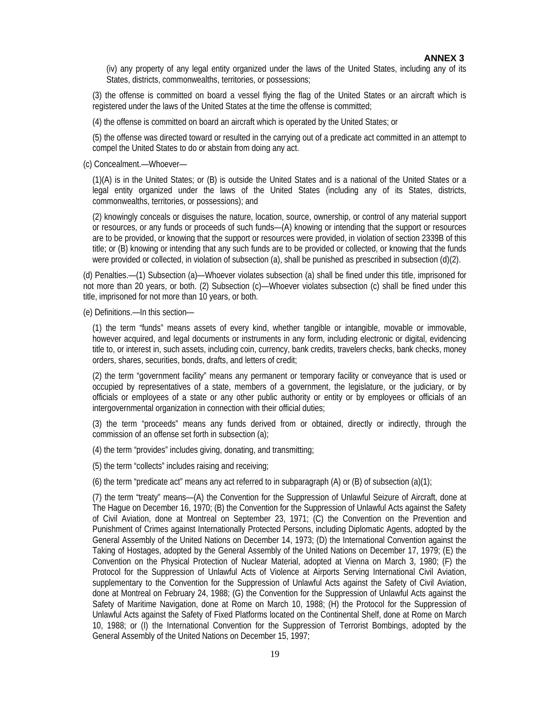(iv) any property of any legal entity organized under the laws of the United States, including any of its States, districts, commonwealths, territories, or possessions;

(3) the offense is committed on board a vessel flying the flag of the United States or an aircraft which is registered under the laws of the United States at the time the offense is committed;

(4) the offense is committed on board an aircraft which is operated by the United States; or

(5) the offense was directed toward or resulted in the carrying out of a predicate act committed in an attempt to compel the United States to do or abstain from doing any act.

(c) Concealment.—Whoever—

(1)(A) is in the United States; or (B) is outside the United States and is a national of the United States or a legal entity organized under the laws of the United States (including any of its States, districts, commonwealths, territories, or possessions); and

(2) knowingly conceals or disguises the nature, location, source, ownership, or control of any material support or resources, or any funds or proceeds of such funds—(A) knowing or intending that the support or resources are to be provided, or knowing that the support or resources were provided, in violation of section 2339B of this title; or (B) knowing or intending that any such funds are to be provided or collected, or knowing that the funds were provided or collected, in violation of subsection (a), shall be punished as prescribed in subsection  $(d)(2)$ .

(d) Penalties.—(1) Subsection (a)—Whoever violates subsection (a) shall be fined under this title, imprisoned for not more than 20 years, or both. (2) Subsection (c)—Whoever violates subsection (c) shall be fined under this title, imprisoned for not more than 10 years, or both.

(e) Definitions.—In this section—

(1) the term "funds" means assets of every kind, whether tangible or intangible, movable or immovable, however acquired, and legal documents or instruments in any form, including electronic or digital, evidencing title to, or interest in, such assets, including coin, currency, bank credits, travelers checks, bank checks, money orders, shares, securities, bonds, drafts, and letters of credit;

(2) the term "government facility" means any permanent or temporary facility or conveyance that is used or occupied by representatives of a state, members of a government, the legislature, or the judiciary, or by officials or employees of a state or any other public authority or entity or by employees or officials of an intergovernmental organization in connection with their official duties;

(3) the term "proceeds" means any funds derived from or obtained, directly or indirectly, through the commission of an offense set forth in subsection (a);

(4) the term "provides" includes giving, donating, and transmitting;

(5) the term "collects" includes raising and receiving;

(6) the term "predicate act" means any act referred to in subparagraph  $(A)$  or  $(B)$  of subsection  $(a)(1)$ ;

(7) the term "treaty" means—(A) the Convention for the Suppression of Unlawful Seizure of Aircraft, done at The Hague on December 16, 1970; (B) the Convention for the Suppression of Unlawful Acts against the Safety of Civil Aviation, done at Montreal on September 23, 1971; (C) the Convention on the Prevention and Punishment of Crimes against Internationally Protected Persons, including Diplomatic Agents, adopted by the General Assembly of the United Nations on December 14, 1973; (D) the International Convention against the Taking of Hostages, adopted by the General Assembly of the United Nations on December 17, 1979; (E) the Convention on the Physical Protection of Nuclear Material, adopted at Vienna on March 3, 1980; (F) the Protocol for the Suppression of Unlawful Acts of Violence at Airports Serving International Civil Aviation, supplementary to the Convention for the Suppression of Unlawful Acts against the Safety of Civil Aviation, done at Montreal on February 24, 1988; (G) the Convention for the Suppression of Unlawful Acts against the Safety of Maritime Navigation, done at Rome on March 10, 1988; (H) the Protocol for the Suppression of Unlawful Acts against the Safety of Fixed Platforms located on the Continental Shelf, done at Rome on March 10, 1988; or (I) the International Convention for the Suppression of Terrorist Bombings, adopted by the General Assembly of the United Nations on December 15, 1997;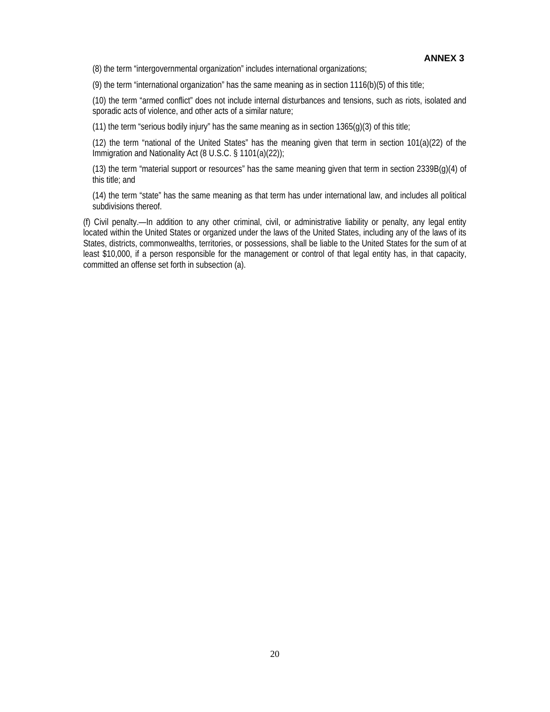(8) the term "intergovernmental organization" includes international organizations;

(9) the term "international organization" has the same meaning as in section 1116(b)(5) of this title;

(10) the term "armed conflict" does not include internal disturbances and tensions, such as riots, isolated and sporadic acts of violence, and other acts of a similar nature;

(11) the term "serious bodily injury" has the same meaning as in section 1365(g)(3) of this title;

(12) the term "national of the United States" has the meaning given that term in section 101(a)(22) of the Immigration and Nationality Act (8 U.S.C. § 1101(a)(22));

(13) the term "material support or resources" has the same meaning given that term in section 2339B(g)(4) of this title; and

(14) the term "state" has the same meaning as that term has under international law, and includes all political subdivisions thereof.

(f) Civil penalty.—In addition to any other criminal, civil, or administrative liability or penalty, any legal entity located within the United States or organized under the laws of the United States, including any of the laws of its States, districts, commonwealths, territories, or possessions, shall be liable to the United States for the sum of at least \$10,000, if a person responsible for the management or control of that legal entity has, in that capacity, committed an offense set forth in subsection (a).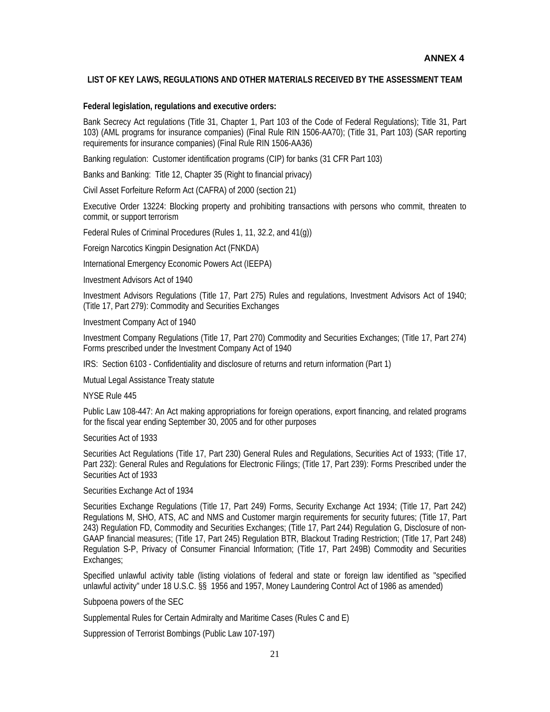#### **LIST OF KEY LAWS, REGULATIONS AND OTHER MATERIALS RECEIVED BY THE ASSESSMENT TEAM**

#### **Federal legislation, regulations and executive orders:**

Bank Secrecy Act regulations (Title 31, Chapter 1, Part 103 of the Code of Federal Regulations); Title 31, Part 103) (AML programs for insurance companies) (Final Rule RIN 1506-AA70); (Title 31, Part 103) (SAR reporting requirements for insurance companies) (Final Rule RIN 1506-AA36)

Banking regulation: Customer identification programs (CIP) for banks (31 CFR Part 103)

Banks and Banking: Title 12, Chapter 35 (Right to financial privacy)

Civil Asset Forfeiture Reform Act (CAFRA) of 2000 (section 21)

Executive Order 13224: Blocking property and prohibiting transactions with persons who commit, threaten to commit, or support terrorism

Federal Rules of Criminal Procedures (Rules 1, 11, 32.2, and 41(g))

Foreign Narcotics Kingpin Designation Act (FNKDA)

International Emergency Economic Powers Act (IEEPA)

Investment Advisors Act of 1940

Investment Advisors Regulations (Title 17, Part 275) Rules and regulations, Investment Advisors Act of 1940; (Title 17, Part 279): Commodity and Securities Exchanges

Investment Company Act of 1940

Investment Company Regulations (Title 17, Part 270) Commodity and Securities Exchanges; (Title 17, Part 274) Forms prescribed under the Investment Company Act of 1940

IRS: Section 6103 - Confidentiality and disclosure of returns and return information (Part 1)

Mutual Legal Assistance Treaty statute

NYSE Rule 445

Public Law 108-447: An Act making appropriations for foreign operations, export financing, and related programs for the fiscal year ending September 30, 2005 and for other purposes

Securities Act of 1933

Securities Act Regulations (Title 17, Part 230) General Rules and Regulations, Securities Act of 1933; (Title 17, Part 232): General Rules and Regulations for Electronic Filings; (Title 17, Part 239): Forms Prescribed under the Securities Act of 1933

Securities Exchange Act of 1934

Securities Exchange Regulations (Title 17, Part 249) Forms, Security Exchange Act 1934; (Title 17, Part 242) Regulations M, SHO, ATS, AC and NMS and Customer margin requirements for security futures; (Title 17, Part 243) Regulation FD, Commodity and Securities Exchanges; (Title 17, Part 244) Regulation G, Disclosure of non-GAAP financial measures; (Title 17, Part 245) Regulation BTR, Blackout Trading Restriction; (Title 17, Part 248) Regulation S-P, Privacy of Consumer Financial Information; (Title 17, Part 249B) Commodity and Securities Exchanges;

Specified unlawful activity table (listing violations of federal and state or foreign law identified as "specified unlawful activity" under 18 U.S.C. §§ 1956 and 1957, Money Laundering Control Act of 1986 as amended)

Subpoena powers of the SEC

Supplemental Rules for Certain Admiralty and Maritime Cases (Rules C and E)

Suppression of Terrorist Bombings (Public Law 107-197)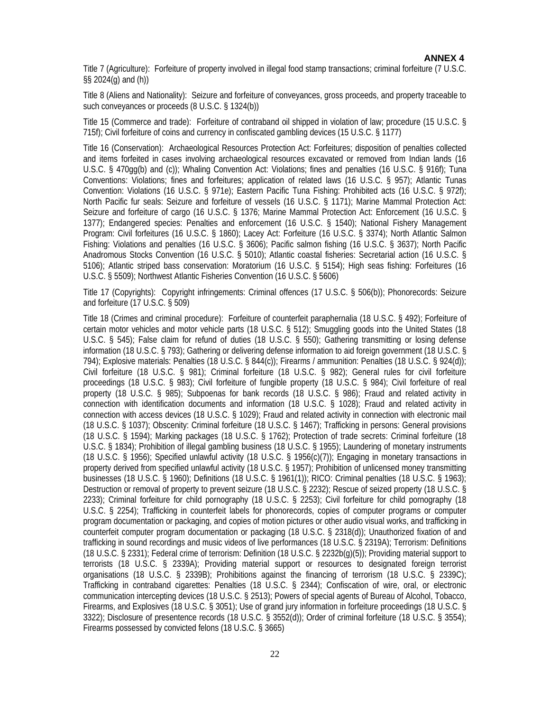Title 7 (Agriculture): Forfeiture of property involved in illegal food stamp transactions; criminal forfeiture (7 U.S.C. §§ 2024(g) and (h))

Title 8 (Aliens and Nationality): Seizure and forfeiture of conveyances, gross proceeds, and property traceable to such conveyances or proceeds (8 U.S.C. § 1324(b))

Title 15 (Commerce and trade): Forfeiture of contraband oil shipped in violation of law; procedure (15 U.S.C. § 715f); Civil forfeiture of coins and currency in confiscated gambling devices (15 U.S.C. § 1177)

Title 16 (Conservation): Archaeological Resources Protection Act: Forfeitures; disposition of penalties collected and items forfeited in cases involving archaeological resources excavated or removed from Indian lands (16 U.S.C. § 470gg(b) and (c)); Whaling Convention Act: Violations; fines and penalties (16 U.S.C. § 916f); Tuna Conventions: Violations; fines and forfeitures; application of related laws (16 U.S.C. § 957); Atlantic Tunas Convention: Violations (16 U.S.C. § 971e); Eastern Pacific Tuna Fishing: Prohibited acts (16 U.S.C. § 972f); North Pacific fur seals: Seizure and forfeiture of vessels (16 U.S.C. § 1171); Marine Mammal Protection Act: Seizure and forfeiture of cargo (16 U.S.C. § 1376; Marine Mammal Protection Act: Enforcement (16 U.S.C. § 1377); Endangered species: Penalties and enforcement (16 U.S.C. § 1540); National Fishery Management Program: Civil forfeitures (16 U.S.C. § 1860); Lacey Act: Forfeiture (16 U.S.C. § 3374); North Atlantic Salmon Fishing: Violations and penalties (16 U.S.C. § 3606); Pacific salmon fishing (16 U.S.C. § 3637); North Pacific Anadromous Stocks Convention (16 U.S.C. § 5010); Atlantic coastal fisheries: Secretarial action (16 U.S.C. § 5106); Atlantic striped bass conservation: Moratorium (16 U.S.C. § 5154); High seas fishing: Forfeitures (16 U.S.C. § 5509); Northwest Atlantic Fisheries Convention (16 U.S.C. § 5606)

Title 17 (Copyrights): Copyright infringements: Criminal offences (17 U.S.C. § 506(b)); Phonorecords: Seizure and forfeiture (17 U.S.C. § 509)

Title 18 (Crimes and criminal procedure): Forfeiture of counterfeit paraphernalia (18 U.S.C. § 492); Forfeiture of certain motor vehicles and motor vehicle parts (18 U.S.C. § 512); Smuggling goods into the United States (18 U.S.C. § 545); False claim for refund of duties (18 U.S.C. § 550); Gathering transmitting or losing defense information (18 U.S.C. § 793); Gathering or delivering defense information to aid foreign government (18 U.S.C. § 794); Explosive materials: Penalties (18 U.S.C. § 844(c)); Firearms / ammunition: Penalties (18 U.S.C. § 924(d)); Civil forfeiture (18 U.S.C. § 981); Criminal forfeiture (18 U.S.C. § 982); General rules for civil forfeiture proceedings (18 U.S.C. § 983); Civil forfeiture of fungible property (18 U.S.C. § 984); Civil forfeiture of real property (18 U.S.C. § 985); Subpoenas for bank records (18 U.S.C. § 986); Fraud and related activity in connection with identification documents and information (18 U.S.C. § 1028); Fraud and related activity in connection with access devices (18 U.S.C. § 1029); Fraud and related activity in connection with electronic mail (18 U.S.C. § 1037); Obscenity: Criminal forfeiture (18 U.S.C. § 1467); Trafficking in persons: General provisions (18 U.S.C. § 1594); Marking packages (18 U.S.C. § 1762); Protection of trade secrets: Criminal forfeiture (18 U.S.C. § 1834); Prohibition of illegal gambling business (18 U.S.C. § 1955); Laundering of monetary instruments (18 U.S.C. § 1956); Specified unlawful activity (18 U.S.C. § 1956(c)(7)); Engaging in monetary transactions in property derived from specified unlawful activity (18 U.S.C. § 1957); Prohibition of unlicensed money transmitting businesses (18 U.S.C. § 1960); Definitions (18 U.S.C. § 1961(1)); RICO: Criminal penalties (18 U.S.C. § 1963); Destruction or removal of property to prevent seizure (18 U.S.C. § 2232); Rescue of seized property (18 U.S.C. § 2233); Criminal forfeiture for child pornography (18 U.S.C. § 2253); Civil forfeiture for child pornography (18 U.S.C. § 2254); Trafficking in counterfeit labels for phonorecords, copies of computer programs or computer program documentation or packaging, and copies of motion pictures or other audio visual works, and trafficking in counterfeit computer program documentation or packaging (18 U.S.C. § 2318(d)); Unauthorized fixation of and trafficking in sound recordings and music videos of live performances (18 U.S.C. § 2319A); Terrorism: Definitions (18 U.S.C. § 2331); Federal crime of terrorism: Definition (18 U.S.C. § 2232b(g)(5)); Providing material support to terrorists (18 U.S.C. § 2339A); Providing material support or resources to designated foreign terrorist organisations (18 U.S.C. § 2339B); Prohibitions against the financing of terrorism (18 U.S.C. § 2339C); Trafficking in contraband cigarettes: Penalties (18 U.S.C. § 2344); Confiscation of wire, oral, or electronic communication intercepting devices (18 U.S.C. § 2513); Powers of special agents of Bureau of Alcohol, Tobacco, Firearms, and Explosives (18 U.S.C. § 3051); Use of grand jury information in forfeiture proceedings (18 U.S.C. § 3322); Disclosure of presentence records (18 U.S.C. § 3552(d)); Order of criminal forfeiture (18 U.S.C. § 3554); Firearms possessed by convicted felons (18 U.S.C. § 3665)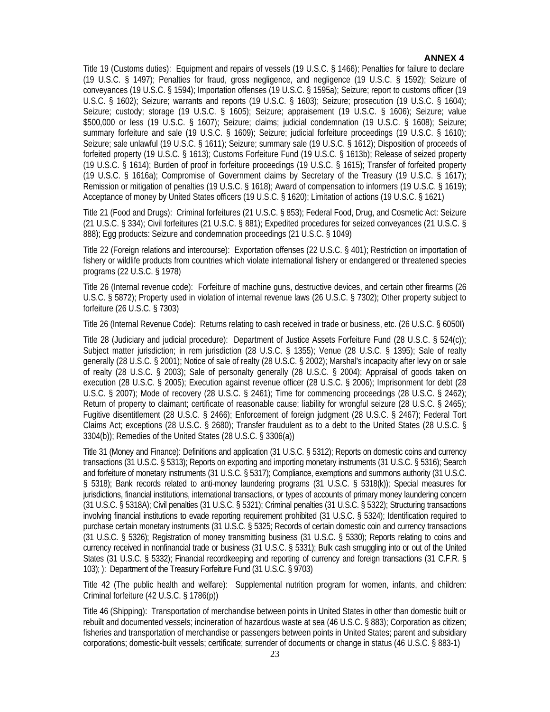Title 19 (Customs duties): Equipment and repairs of vessels (19 U.S.C. § 1466); Penalties for failure to declare (19 U.S.C. § 1497); Penalties for fraud, gross negligence, and negligence (19 U.S.C. § 1592); Seizure of conveyances (19 U.S.C. § 1594); Importation offenses (19 U.S.C. § 1595a); Seizure; report to customs officer (19 U.S.C. § 1602); Seizure; warrants and reports (19 U.S.C. § 1603); Seizure; prosecution (19 U.S.C. § 1604); Seizure; custody; storage (19 U.S.C. § 1605); Seizure; appraisement (19 U.S.C. § 1606); Seizure; value \$500,000 or less (19 U.S.C. § 1607); Seizure; claims; judicial condemnation (19 U.S.C. § 1608); Seizure; summary forfeiture and sale (19 U.S.C. § 1609); Seizure; judicial forfeiture proceedings (19 U.S.C. § 1610); Seizure; sale unlawful (19 U.S.C. § 1611); Seizure; summary sale (19 U.S.C. § 1612); Disposition of proceeds of forfeited property (19 U.S.C. § 1613); Customs Forfeiture Fund (19 U.S.C. § 1613b); Release of seized property (19 U.S.C. § 1614); Burden of proof in forfeiture proceedings (19 U.S.C. § 1615); Transfer of forfeited property (19 U.S.C. § 1616a); Compromise of Government claims by Secretary of the Treasury (19 U.S.C. § 1617); Remission or mitigation of penalties (19 U.S.C. § 1618); Award of compensation to informers (19 U.S.C. § 1619); Acceptance of money by United States officers (19 U.S.C. § 1620); Limitation of actions (19 U.S.C. § 1621)

Title 21 (Food and Drugs): Criminal forfeitures (21 U.S.C. § 853); Federal Food, Drug, and Cosmetic Act: Seizure (21 U.S.C. § 334); Civil forfeitures (21 U.S.C. § 881); Expedited procedures for seized conveyances (21 U.S.C. § 888); Egg products: Seizure and condemnation proceedings (21 U.S.C. § 1049)

Title 22 (Foreign relations and intercourse): Exportation offenses (22 U.S.C. § 401); Restriction on importation of fishery or wildlife products from countries which violate international fishery or endangered or threatened species programs (22 U.S.C. § 1978)

Title 26 (Internal revenue code): Forfeiture of machine guns, destructive devices, and certain other firearms (26 U.S.C. § 5872); Property used in violation of internal revenue laws (26 U.S.C. § 7302); Other property subject to forfeiture (26 U.S.C. § 7303)

Title 26 (Internal Revenue Code): Returns relating to cash received in trade or business, etc. (26 U.S.C. § 6050I)

Title 28 (Judiciary and judicial procedure): Department of Justice Assets Forfeiture Fund (28 U.S.C. § 524(c)); Subject matter jurisdiction; in rem jurisdiction (28 U.S.C. § 1355); Venue (28 U.S.C. § 1395); Sale of realty generally (28 U.S.C. § 2001); Notice of sale of realty (28 U.S.C. § 2002); Marshal's incapacity after levy on or sale of realty (28 U.S.C. § 2003); Sale of personalty generally (28 U.S.C. § 2004); Appraisal of goods taken on execution (28 U.S.C. § 2005); Execution against revenue officer (28 U.S.C. § 2006); Imprisonment for debt (28 U.S.C. § 2007); Mode of recovery (28 U.S.C. § 2461); Time for commencing proceedings (28 U.S.C. § 2462); Return of property to claimant; certificate of reasonable cause; liability for wrongful seizure (28 U.S.C. § 2465); Fugitive disentitlement (28 U.S.C. § 2466); Enforcement of foreign judgment (28 U.S.C. § 2467); Federal Tort Claims Act; exceptions (28 U.S.C. § 2680); Transfer fraudulent as to a debt to the United States (28 U.S.C. § 3304(b)); Remedies of the United States (28 U.S.C. § 3306(a))

Title 31 (Money and Finance): Definitions and application (31 U.S.C. § 5312); Reports on domestic coins and currency transactions (31 U.S.C. § 5313); Reports on exporting and importing monetary instruments (31 U.S.C. § 5316); Search and forfeiture of monetary instruments (31 U.S.C. § 5317); Compliance, exemptions and summons authority (31 U.S.C. § 5318); Bank records related to anti-money laundering programs (31 U.S.C. § 5318(k)); Special measures for jurisdictions, financial institutions, international transactions, or types of accounts of primary money laundering concern (31 U.S.C. § 5318A); Civil penalties (31 U.S.C. § 5321); Criminal penalties (31 U.S.C. § 5322); Structuring transactions involving financial institutions to evade reporting requirement prohibited (31 U.S.C. § 5324); Identification required to purchase certain monetary instruments (31 U.S.C. § 5325; Records of certain domestic coin and currency transactions (31 U.S.C. § 5326); Registration of money transmitting business (31 U.S.C. § 5330); Reports relating to coins and currency received in nonfinancial trade or business (31 U.S.C. § 5331); Bulk cash smuggling into or out of the United States (31 U.S.C. § 5332); Financial recordkeeping and reporting of currency and foreign transactions (31 C.F.R. § 103); ): Department of the Treasury Forfeiture Fund (31 U.S.C. § 9703)

Title 42 (The public health and welfare): Supplemental nutrition program for women, infants, and children: Criminal forfeiture (42 U.S.C. § 1786(p))

Title 46 (Shipping): Transportation of merchandise between points in United States in other than domestic built or rebuilt and documented vessels; incineration of hazardous waste at sea (46 U.S.C. § 883); Corporation as citizen; fisheries and transportation of merchandise or passengers between points in United States; parent and subsidiary corporations; domestic-built vessels; certificate; surrender of documents or change in status (46 U.S.C. § 883-1)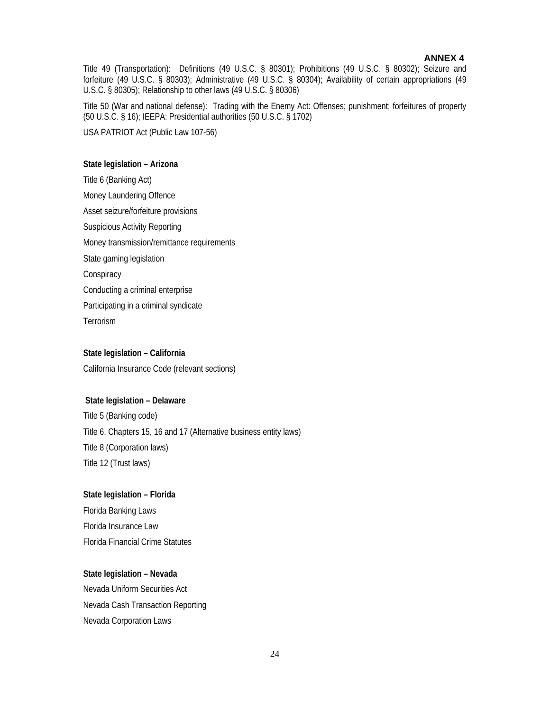Title 49 (Transportation): Definitions (49 U.S.C. § 80301); Prohibitions (49 U.S.C. § 80302); Seizure and forfeiture (49 U.S.C. § 80303); Administrative (49 U.S.C. § 80304); Availability of certain appropriations (49 U.S.C. § 80305); Relationship to other laws (49 U.S.C. § 80306)

Title 50 (War and national defense): Trading with the Enemy Act: Offenses; punishment; forfeitures of property (50 U.S.C. § 16); IEEPA: Presidential authorities (50 U.S.C. § 1702)

USA PATRIOT Act (Public Law 107-56)

#### **State legislation – Arizona**

Title 6 (Banking Act) Money Laundering Offence Asset seizure/forfeiture provisions Suspicious Activity Reporting Money transmission/remittance requirements State gaming legislation **Conspiracy** Conducting a criminal enterprise Participating in a criminal syndicate Terrorism

## **State legislation – California**

California Insurance Code (relevant sections)

## **State legislation – Delaware**

Title 5 (Banking code) Title 6, Chapters 15, 16 and 17 (Alternative business entity laws) Title 8 (Corporation laws) Title 12 (Trust laws)

#### **State legislation – Florida**

Florida Banking Laws Florida Insurance Law Florida Financial Crime Statutes

#### **State legislation – Nevada**

Nevada Uniform Securities Act Nevada Cash Transaction Reporting Nevada Corporation Laws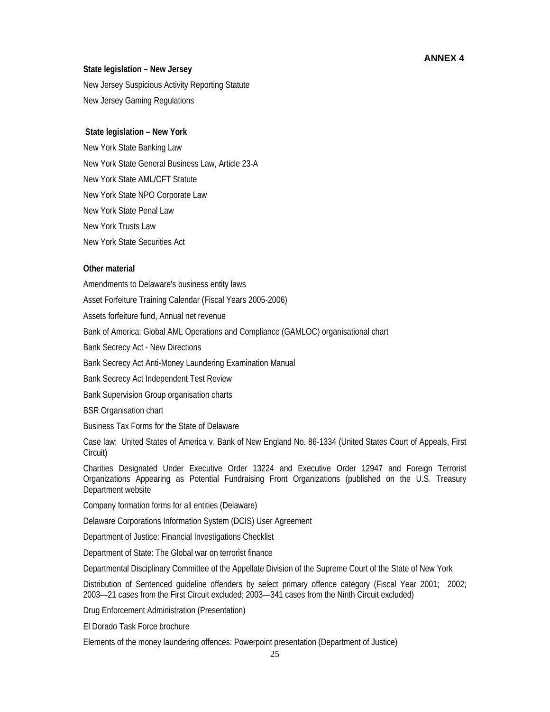## **State legislation – New Jersey**

New Jersey Suspicious Activity Reporting Statute New Jersey Gaming Regulations

#### **State legislation – New York**

New York State Banking Law New York State General Business Law, Article 23-A New York State AML/CFT Statute New York State NPO Corporate Law New York State Penal Law New York Trusts Law New York State Securities Act

#### **Other material**

Amendments to Delaware's business entity laws

Asset Forfeiture Training Calendar (Fiscal Years 2005-2006)

Assets forfeiture fund, Annual net revenue

Bank of America: Global AML Operations and Compliance (GAMLOC) organisational chart

Bank Secrecy Act - New Directions

Bank Secrecy Act Anti-Money Laundering Examination Manual

Bank Secrecy Act Independent Test Review

Bank Supervision Group organisation charts

BSR Organisation chart

Business Tax Forms for the State of Delaware

Case law: United States of America v. Bank of New England No. 86-1334 (United States Court of Appeals, First Circuit)

Charities Designated Under Executive Order 13224 and Executive Order 12947 and Foreign Terrorist Organizations Appearing as Potential Fundraising Front Organizations (published on the U.S. Treasury Department website

Company formation forms for all entities (Delaware)

Delaware Corporations Information System (DCIS) User Agreement

Department of Justice: Financial Investigations Checklist

Department of State: The Global war on terrorist finance

Departmental Disciplinary Committee of the Appellate Division of the Supreme Court of the State of New York

Distribution of Sentenced guideline offenders by select primary offence category (Fiscal Year 2001; 2002; 2003—21 cases from the First Circuit excluded; 2003—341 cases from the Ninth Circuit excluded)

Drug Enforcement Administration (Presentation)

El Dorado Task Force brochure

Elements of the money laundering offences: Powerpoint presentation (Department of Justice)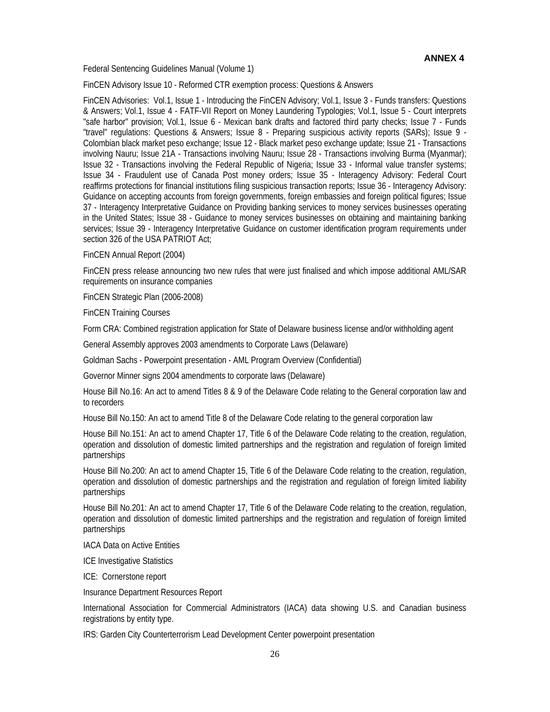Federal Sentencing Guidelines Manual (Volume 1)

FinCEN Advisory Issue 10 - Reformed CTR exemption process: Questions & Answers

FinCEN Advisories: Vol.1, Issue 1 - Introducing the FinCEN Advisory; Vol.1, Issue 3 - Funds transfers: Questions & Answers; Vol.1, Issue 4 - FATF-VII Report on Money Laundering Typologies; Vol.1, Issue 5 - Court interprets "safe harbor" provision; Vol.1, Issue 6 - Mexican bank drafts and factored third party checks; Issue 7 - Funds "travel" regulations: Questions & Answers; Issue 8 - Preparing suspicious activity reports (SARs); Issue 9 - Colombian black market peso exchange; Issue 12 - Black market peso exchange update; Issue 21 - Transactions involving Nauru; Issue 21A - Transactions involving Nauru; Issue 28 - Transactions involving Burma (Myanmar); Issue 32 - Transactions involving the Federal Republic of Nigeria; Issue 33 - Informal value transfer systems; Issue 34 - Fraudulent use of Canada Post money orders; Issue 35 - Interagency Advisory: Federal Court reaffirms protections for financial institutions filing suspicious transaction reports; Issue 36 - Interagency Advisory: Guidance on accepting accounts from foreign governments, foreign embassies and foreign political figures; Issue 37 - Interagency Interpretative Guidance on Providing banking services to money services businesses operating in the United States; Issue 38 - Guidance to money services businesses on obtaining and maintaining banking services; Issue 39 - Interagency Interpretative Guidance on customer identification program requirements under section 326 of the USA PATRIOT Act;

FinCEN Annual Report (2004)

FinCEN press release announcing two new rules that were just finalised and which impose additional AML/SAR requirements on insurance companies

FinCEN Strategic Plan (2006-2008)

FinCEN Training Courses

Form CRA: Combined registration application for State of Delaware business license and/or withholding agent

General Assembly approves 2003 amendments to Corporate Laws (Delaware)

Goldman Sachs - Powerpoint presentation - AML Program Overview (Confidential)

Governor Minner signs 2004 amendments to corporate laws (Delaware)

House Bill No.16: An act to amend Titles 8 & 9 of the Delaware Code relating to the General corporation law and to recorders

House Bill No.150: An act to amend Title 8 of the Delaware Code relating to the general corporation law

House Bill No.151: An act to amend Chapter 17, Title 6 of the Delaware Code relating to the creation, regulation, operation and dissolution of domestic limited partnerships and the registration and regulation of foreign limited partnerships

House Bill No.200: An act to amend Chapter 15, Title 6 of the Delaware Code relating to the creation, regulation, operation and dissolution of domestic partnerships and the registration and regulation of foreign limited liability partnerships

House Bill No.201: An act to amend Chapter 17, Title 6 of the Delaware Code relating to the creation, regulation, operation and dissolution of domestic limited partnerships and the registration and regulation of foreign limited partnerships

IACA Data on Active Entities

ICE Investigative Statistics

ICE: Cornerstone report

Insurance Department Resources Report

International Association for Commercial Administrators (IACA) data showing U.S. and Canadian business registrations by entity type.

IRS: Garden City Counterterrorism Lead Development Center powerpoint presentation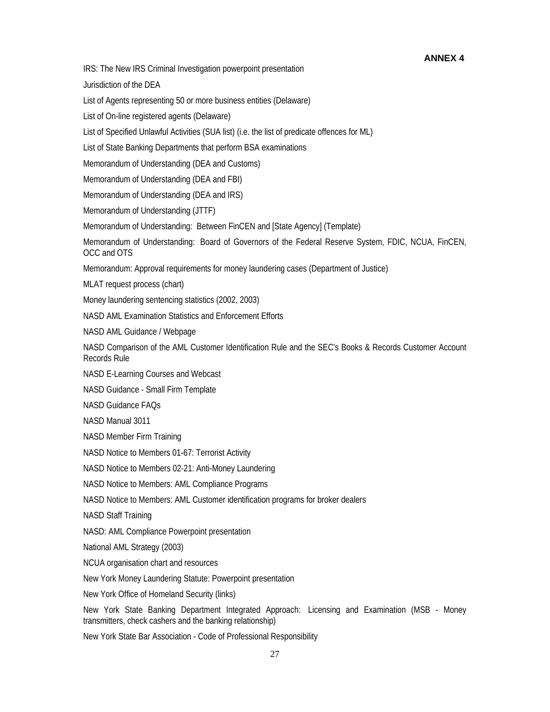IRS: The New IRS Criminal Investigation powerpoint presentation

Jurisdiction of the DEA

List of Agents representing 50 or more business entities (Delaware)

List of On-line registered agents (Delaware)

List of Specified Unlawful Activities (SUA list) (i.e. the list of predicate offences for ML)

List of State Banking Departments that perform BSA examinations

Memorandum of Understanding (DEA and Customs)

Memorandum of Understanding (DEA and FBI)

Memorandum of Understanding (DEA and IRS)

Memorandum of Understanding (JTTF)

Memorandum of Understanding: Between FinCEN and [State Agency] (Template)

Memorandum of Understanding: Board of Governors of the Federal Reserve System, FDIC, NCUA, FinCEN, OCC and OTS

Memorandum: Approval requirements for money laundering cases (Department of Justice)

MLAT request process (chart)

Money laundering sentencing statistics (2002, 2003)

NASD AML Examination Statistics and Enforcement Efforts

NASD AML Guidance / Webpage

NASD Comparison of the AML Customer Identification Rule and the SEC's Books & Records Customer Account Records Rule

NASD E-Learning Courses and Webcast

NASD Guidance - Small Firm Template

NASD Guidance FAQs

NASD Manual 3011

NASD Member Firm Training

NASD Notice to Members 01-67: Terrorist Activity

NASD Notice to Members 02-21: Anti-Money Laundering

NASD Notice to Members: AML Compliance Programs

NASD Notice to Members: AML Customer identification programs for broker dealers

NASD Staff Training

NASD: AML Compliance Powerpoint presentation

National AML Strategy (2003)

NCUA organisation chart and resources

New York Money Laundering Statute: Powerpoint presentation

New York Office of Homeland Security (links)

New York State Banking Department Integrated Approach: Licensing and Examination (MSB - Money transmitters, check cashers and the banking relationship)

New York State Bar Association - Code of Professional Responsibility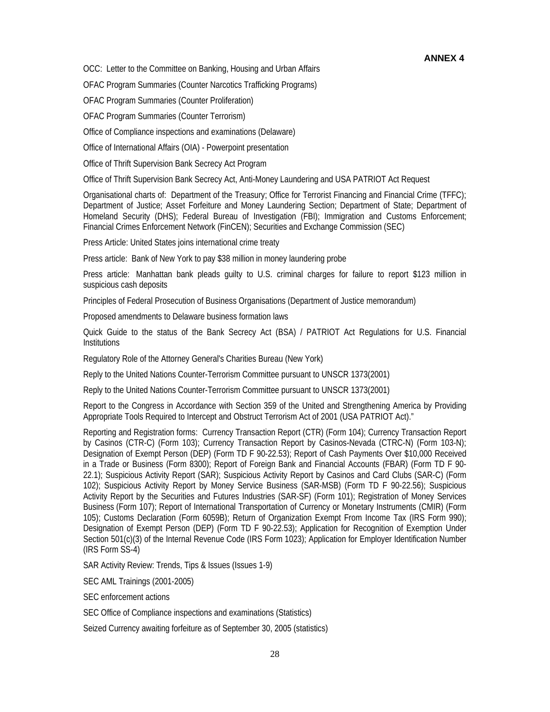OCC: Letter to the Committee on Banking, Housing and Urban Affairs

OFAC Program Summaries (Counter Narcotics Trafficking Programs)

OFAC Program Summaries (Counter Proliferation)

OFAC Program Summaries (Counter Terrorism)

Office of Compliance inspections and examinations (Delaware)

Office of International Affairs (OIA) - Powerpoint presentation

Office of Thrift Supervision Bank Secrecy Act Program

Office of Thrift Supervision Bank Secrecy Act, Anti-Money Laundering and USA PATRIOT Act Request

Organisational charts of: Department of the Treasury; Office for Terrorist Financing and Financial Crime (TFFC); Department of Justice; Asset Forfeiture and Money Laundering Section; Department of State; Department of Homeland Security (DHS); Federal Bureau of Investigation (FBI); Immigration and Customs Enforcement; Financial Crimes Enforcement Network (FinCEN); Securities and Exchange Commission (SEC)

Press Article: United States joins international crime treaty

Press article: Bank of New York to pay \$38 million in money laundering probe

Press article: Manhattan bank pleads guilty to U.S. criminal charges for failure to report \$123 million in suspicious cash deposits

Principles of Federal Prosecution of Business Organisations (Department of Justice memorandum)

Proposed amendments to Delaware business formation laws

Quick Guide to the status of the Bank Secrecy Act (BSA) / PATRIOT Act Regulations for U.S. Financial **Institutions** 

Regulatory Role of the Attorney General's Charities Bureau (New York)

Reply to the United Nations Counter-Terrorism Committee pursuant to UNSCR 1373(2001)

Reply to the United Nations Counter-Terrorism Committee pursuant to UNSCR 1373(2001)

Report to the Congress in Accordance with Section 359 of the United and Strengthening America by Providing Appropriate Tools Required to Intercept and Obstruct Terrorism Act of 2001 (USA PATRIOT Act)."

Reporting and Registration forms: Currency Transaction Report (CTR) (Form 104); Currency Transaction Report by Casinos (CTR-C) (Form 103); Currency Transaction Report by Casinos-Nevada (CTRC-N) (Form 103-N); Designation of Exempt Person (DEP) (Form TD F 90-22.53); Report of Cash Payments Over \$10,000 Received in a Trade or Business (Form 8300); Report of Foreign Bank and Financial Accounts (FBAR) (Form TD F 90- 22.1); Suspicious Activity Report (SAR); Suspicious Activity Report by Casinos and Card Clubs (SAR-C) (Form 102); Suspicious Activity Report by Money Service Business (SAR-MSB) (Form TD F 90-22.56); Suspicious Activity Report by the Securities and Futures Industries (SAR-SF) (Form 101); Registration of Money Services Business (Form 107); Report of International Transportation of Currency or Monetary Instruments (CMIR) (Form 105); Customs Declaration (Form 6059B); Return of Organization Exempt From Income Tax (IRS Form 990); Designation of Exempt Person (DEP) (Form TD F 90-22.53); Application for Recognition of Exemption Under Section 501(c)(3) of the Internal Revenue Code (IRS Form 1023); Application for Employer Identification Number (IRS Form SS-4)

SAR Activity Review: Trends, Tips & Issues (Issues 1-9)

SEC AML Trainings (2001-2005)

SEC enforcement actions

SEC Office of Compliance inspections and examinations (Statistics)

Seized Currency awaiting forfeiture as of September 30, 2005 (statistics)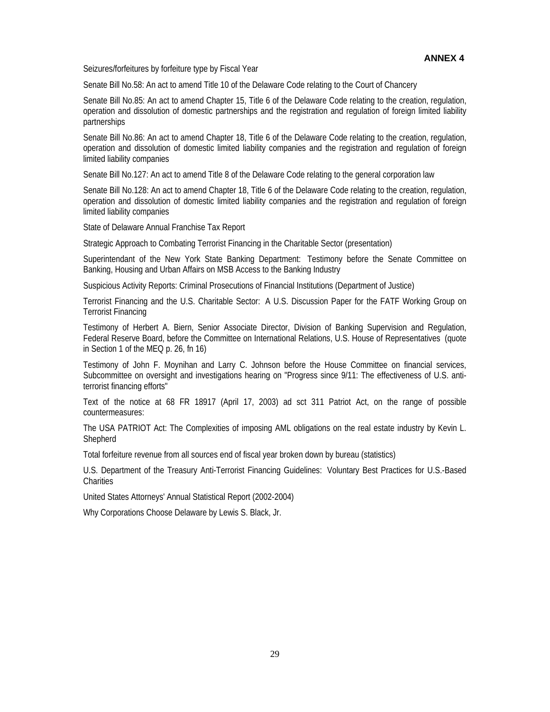Seizures/forfeitures by forfeiture type by Fiscal Year

Senate Bill No.58: An act to amend Title 10 of the Delaware Code relating to the Court of Chancery

Senate Bill No.85: An act to amend Chapter 15, Title 6 of the Delaware Code relating to the creation, regulation, operation and dissolution of domestic partnerships and the registration and regulation of foreign limited liability partnerships

Senate Bill No.86: An act to amend Chapter 18, Title 6 of the Delaware Code relating to the creation, regulation, operation and dissolution of domestic limited liability companies and the registration and regulation of foreign limited liability companies

Senate Bill No.127: An act to amend Title 8 of the Delaware Code relating to the general corporation law

Senate Bill No.128: An act to amend Chapter 18, Title 6 of the Delaware Code relating to the creation, regulation, operation and dissolution of domestic limited liability companies and the registration and regulation of foreign limited liability companies

State of Delaware Annual Franchise Tax Report

Strategic Approach to Combating Terrorist Financing in the Charitable Sector (presentation)

Superintendant of the New York State Banking Department: Testimony before the Senate Committee on Banking, Housing and Urban Affairs on MSB Access to the Banking Industry

Suspicious Activity Reports: Criminal Prosecutions of Financial Institutions (Department of Justice)

Terrorist Financing and the U.S. Charitable Sector: A U.S. Discussion Paper for the FATF Working Group on Terrorist Financing

Testimony of Herbert A. Biern, Senior Associate Director, Division of Banking Supervision and Regulation, Federal Reserve Board, before the Committee on International Relations, U.S. House of Representatives (quote in Section 1 of the MEQ p. 26, fn 16)

Testimony of John F. Moynihan and Larry C. Johnson before the House Committee on financial services, Subcommittee on oversight and investigations hearing on "Progress since 9/11: The effectiveness of U.S. antiterrorist financing efforts"

Text of the notice at 68 FR 18917 (April 17, 2003) ad sct 311 Patriot Act, on the range of possible countermeasures:

The USA PATRIOT Act: The Complexities of imposing AML obligations on the real estate industry by Kevin L. Shepherd

Total forfeiture revenue from all sources end of fiscal year broken down by bureau (statistics)

U.S. Department of the Treasury Anti-Terrorist Financing Guidelines: Voluntary Best Practices for U.S.-Based **Charities** 

United States Attorneys' Annual Statistical Report (2002-2004)

Why Corporations Choose Delaware by Lewis S. Black, Jr.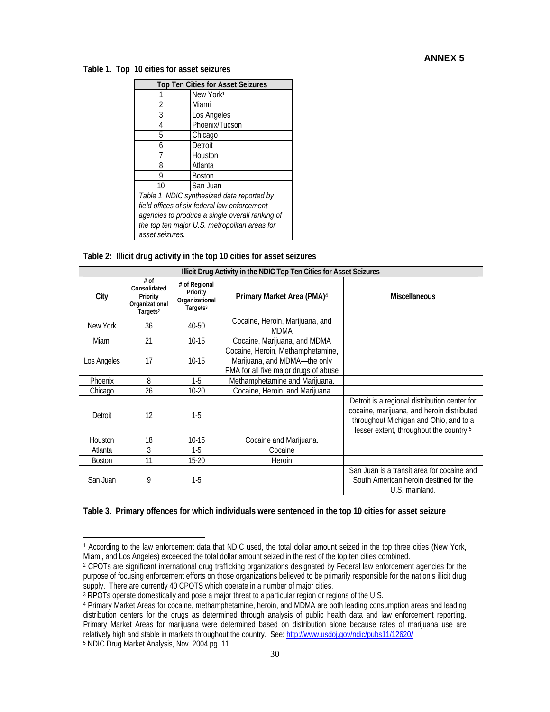## **Table 1. Top 10 cities for asset seizures**

| Top Ten Cities for Asset Seizures               |                       |  |
|-------------------------------------------------|-----------------------|--|
|                                                 | New York <sup>1</sup> |  |
| 2                                               | Miami                 |  |
| 3                                               | Los Angeles           |  |
| 4                                               | Phoenix/Tucson        |  |
| 5                                               | Chicago               |  |
| 6                                               | Detroit               |  |
|                                                 | Houston               |  |
| 8                                               | Atlanta               |  |
| 9                                               | <b>Boston</b>         |  |
| 10                                              | San Juan              |  |
| Table 1 NDIC synthesized data reported by       |                       |  |
| field offices of six federal law enforcement    |                       |  |
| agencies to produce a single overall ranking of |                       |  |
| the top ten major U.S. metropolitan areas for   |                       |  |
| asset seizures.                                 |                       |  |

|  |  | Table 2: Illicit drug activity in the top 10 cities for asset seizures |
|--|--|------------------------------------------------------------------------|
|  |  |                                                                        |

| Illicit Drug Activity in the NDIC Top Ten Cities for Asset Seizures |                                                                              |                                                                     |                                                                                                            |                                                                                                                                                                                              |
|---------------------------------------------------------------------|------------------------------------------------------------------------------|---------------------------------------------------------------------|------------------------------------------------------------------------------------------------------------|----------------------------------------------------------------------------------------------------------------------------------------------------------------------------------------------|
| City                                                                | $#$ of<br>Consolidated<br>Priority<br>Organizational<br>Targets <sup>2</sup> | # of Regional<br>Priority<br>Organizational<br>Targets <sup>3</sup> | Primary Market Area (PMA) <sup>4</sup>                                                                     | <b>Miscellaneous</b>                                                                                                                                                                         |
| New York                                                            | 36                                                                           | 40-50                                                               | Cocaine, Heroin, Marijuana, and<br>MDMA                                                                    |                                                                                                                                                                                              |
| Miami                                                               | 21                                                                           | $10-15$                                                             | Cocaine, Marijuana, and MDMA                                                                               |                                                                                                                                                                                              |
| Los Angeles                                                         | 17                                                                           | $10-15$                                                             | Cocaine, Heroin, Methamphetamine,<br>Marijuana, and MDMA-the only<br>PMA for all five major drugs of abuse |                                                                                                                                                                                              |
| Phoenix                                                             | 8                                                                            | $1-5$                                                               | Methamphetamine and Marijuana.                                                                             |                                                                                                                                                                                              |
| Chicago                                                             | 26                                                                           | $10 - 20$                                                           | Cocaine, Heroin, and Marijuana                                                                             |                                                                                                                                                                                              |
| Detroit                                                             | 12                                                                           | $1-5$                                                               |                                                                                                            | Detroit is a regional distribution center for<br>cocaine, marijuana, and heroin distributed<br>throughout Michigan and Ohio, and to a<br>lesser extent, throughout the country. <sup>5</sup> |
| Houston                                                             | 18                                                                           | $10-15$                                                             | Cocaine and Marijuana.                                                                                     |                                                                                                                                                                                              |
| Atlanta                                                             | 3                                                                            | $1-5$                                                               | Cocaine                                                                                                    |                                                                                                                                                                                              |
| <b>Boston</b>                                                       | 11                                                                           | $15-20$                                                             | Heroin                                                                                                     |                                                                                                                                                                                              |
| San Juan                                                            | 9                                                                            | $1-5$                                                               |                                                                                                            | San Juan is a transit area for cocaine and<br>South American heroin destined for the<br>U.S. mainland.                                                                                       |

#### **Table 3. Primary offences for which individuals were sentenced in the top 10 cities for asset seizure**

l

<sup>1</sup> According to the law enforcement data that NDIC used, the total dollar amount seized in the top three cities (New York, Miami, and Los Angeles) exceeded the total dollar amount seized in the rest of the top ten cities combined.

<sup>2</sup> CPOTs are significant international drug trafficking organizations designated by Federal law enforcement agencies for the purpose of focusing enforcement efforts on those organizations believed to be primarily responsible for the nation's illicit drug supply. There are currently 40 CPOTS which operate in a number of major cities.<br><sup>3</sup> RPOTs operate domestically and pose a major threat to a particular region or regions of the U.S.

<sup>&</sup>lt;sup>4</sup> Primary Market Areas for cocaine, methamphetamine, heroin, and MDMA are both leading consumption areas and leading distribution centers for the drugs as determined through analysis of public health data and law enforcement reporting. Primary Market Areas for marijuana were determined based on distribution alone because rates of marijuana use are relatively high and stable in markets throughout the country. See: http://www.usdoj.gov/ndic/pubs11/12620/ 5 NDIC Drug Market Analysis, Nov. 2004 pg. 11.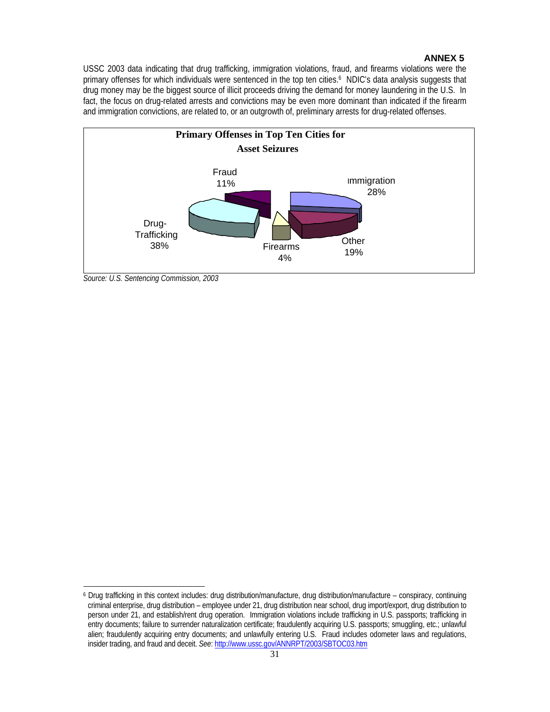USSC 2003 data indicating that drug trafficking, immigration violations, fraud, and firearms violations were the primary offenses for which individuals were sentenced in the top ten cities.6 NDIC's data analysis suggests that drug money may be the biggest source of illicit proceeds driving the demand for money laundering in the U.S. In fact, the focus on drug-related arrests and convictions may be even more dominant than indicated if the firearm and immigration convictions, are related to, or an outgrowth of, preliminary arrests for drug-related offenses.



*Source: U.S. Sentencing Commission, 2003* 

l

<sup>6</sup> Drug trafficking in this context includes: drug distribution/manufacture, drug distribution/manufacture – conspiracy, continuing criminal enterprise, drug distribution – employee under 21, drug distribution near school, drug import/export, drug distribution to person under 21, and establish/rent drug operation. Immigration violations include trafficking in U.S. passports; trafficking in entry documents; failure to surrender naturalization certificate; fraudulently acquiring U.S. passports; smuggling, etc.; unlawful alien; fraudulently acquiring entry documents; and unlawfully entering U.S. Fraud includes odometer laws and regulations, insider trading, and fraud and deceit. *See*: http://www.ussc.gov/ANNRPT/2003/SBTOC03.htm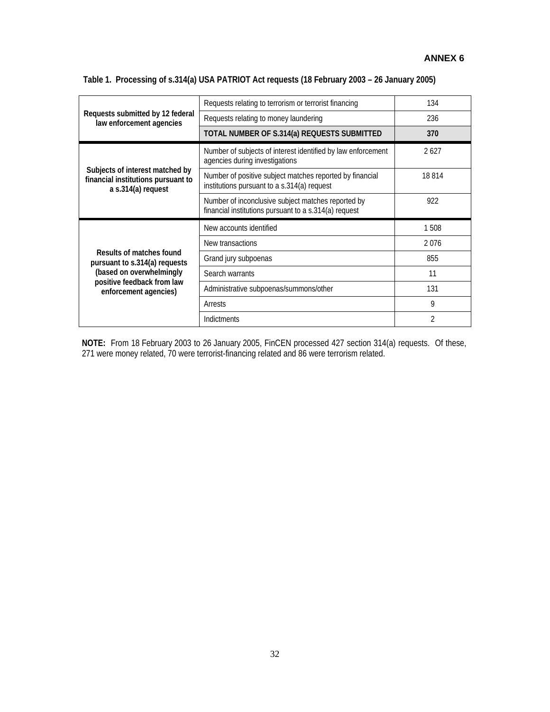|                                                                                                                                              | Requests relating to terrorism or terrorist financing                                                       | 134            |
|----------------------------------------------------------------------------------------------------------------------------------------------|-------------------------------------------------------------------------------------------------------------|----------------|
| Requests submitted by 12 federal<br>law enforcement agencies                                                                                 | Requests relating to money laundering                                                                       | 236            |
|                                                                                                                                              | TOTAL NUMBER OF S.314(a) REQUESTS SUBMITTED                                                                 | 370            |
|                                                                                                                                              | Number of subjects of interest identified by law enforcement<br>agencies during investigations              | 2627           |
| Subjects of interest matched by<br>financial institutions pursuant to<br>a s.314(a) request                                                  | Number of positive subject matches reported by financial<br>institutions pursuant to a s.314(a) request     | 18814          |
|                                                                                                                                              | Number of inconclusive subject matches reported by<br>financial institutions pursuant to a s.314(a) request | 922            |
|                                                                                                                                              | New accounts identified                                                                                     | 1508           |
|                                                                                                                                              | New transactions                                                                                            | 2076           |
| Results of matches found<br>pursuant to s.314(a) requests<br>(based on overwhelmingly<br>positive feedback from law<br>enforcement agencies) | Grand jury subpoenas                                                                                        | 855            |
|                                                                                                                                              | Search warrants                                                                                             | 11             |
|                                                                                                                                              | Administrative subpoenas/summons/other                                                                      | 131            |
|                                                                                                                                              | Arrests                                                                                                     | 9              |
|                                                                                                                                              | Indictments                                                                                                 | $\mathfrak{p}$ |

# **Table 1. Processing of s.314(a) USA PATRIOT Act requests (18 February 2003 – 26 January 2005)**

**NOTE:** From 18 February 2003 to 26 January 2005, FinCEN processed 427 section 314(a) requests. Of these, 271 were money related, 70 were terrorist-financing related and 86 were terrorism related.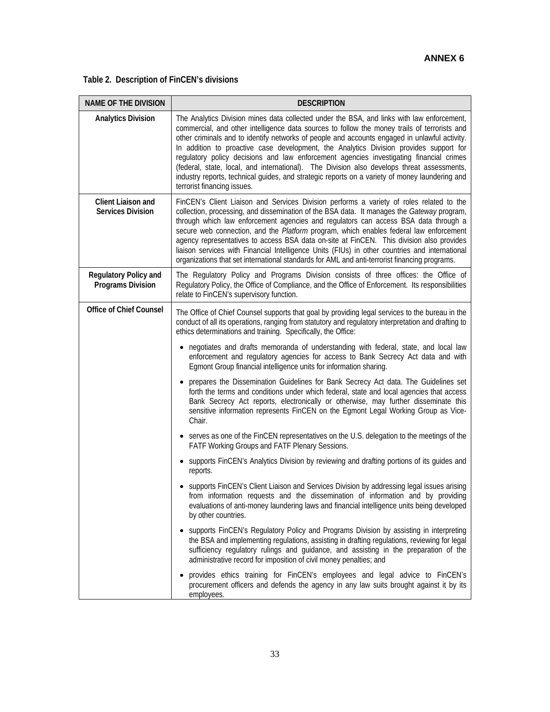| <b>NAME OF THE DIVISION</b>                           | <b>DESCRIPTION</b>                                                                                                                                                                                                                                                                                                                                                                                                                                                                                                                                                                                                                                                                                              |
|-------------------------------------------------------|-----------------------------------------------------------------------------------------------------------------------------------------------------------------------------------------------------------------------------------------------------------------------------------------------------------------------------------------------------------------------------------------------------------------------------------------------------------------------------------------------------------------------------------------------------------------------------------------------------------------------------------------------------------------------------------------------------------------|
| <b>Analytics Division</b>                             | The Analytics Division mines data collected under the BSA, and links with law enforcement,<br>commercial, and other intelligence data sources to follow the money trails of terrorists and<br>other criminals and to identify networks of people and accounts engaged in unlawful activity.<br>In addition to proactive case development, the Analytics Division provides support for<br>regulatory policy decisions and law enforcement agencies investigating financial crimes<br>(federal, state, local, and international). The Division also develops threat assessments,<br>industry reports, technical guides, and strategic reports on a variety of money laundering and<br>terrorist financing issues. |
| <b>Client Liaison and</b><br><b>Services Division</b> | FinCEN's Client Liaison and Services Division performs a variety of roles related to the<br>collection, processing, and dissemination of the BSA data. It manages the Gateway program,<br>through which law enforcement agencies and regulators can access BSA data through a<br>secure web connection, and the Platform program, which enables federal law enforcement<br>agency representatives to access BSA data on-site at FinCEN. This division also provides<br>liaison services with Financial Intelligence Units (FIUs) in other countries and international<br>organizations that set international standards for AML and anti-terrorist financing programs.                                          |
| Regulatory Policy and<br><b>Programs Division</b>     | The Regulatory Policy and Programs Division consists of three offices: the Office of<br>Regulatory Policy, the Office of Compliance, and the Office of Enforcement. Its responsibilities<br>relate to FinCEN's supervisory function.                                                                                                                                                                                                                                                                                                                                                                                                                                                                            |
| <b>Office of Chief Counsel</b>                        | The Office of Chief Counsel supports that goal by providing legal services to the bureau in the<br>conduct of all its operations, ranging from statutory and regulatory interpretation and drafting to<br>ethics determinations and training. Specifically, the Office:                                                                                                                                                                                                                                                                                                                                                                                                                                         |
|                                                       | negotiates and drafts memoranda of understanding with federal, state, and local law<br>enforcement and regulatory agencies for access to Bank Secrecy Act data and with<br>Egmont Group financial intelligence units for information sharing.                                                                                                                                                                                                                                                                                                                                                                                                                                                                   |
|                                                       | prepares the Dissemination Guidelines for Bank Secrecy Act data. The Guidelines set<br>forth the terms and conditions under which federal, state and local agencies that access<br>Bank Secrecy Act reports, electronically or otherwise, may further disseminate this<br>sensitive information represents FinCEN on the Egmont Legal Working Group as Vice-<br>Chair.                                                                                                                                                                                                                                                                                                                                          |
|                                                       | serves as one of the FinCEN representatives on the U.S. delegation to the meetings of the<br>FATF Working Groups and FATF Plenary Sessions.                                                                                                                                                                                                                                                                                                                                                                                                                                                                                                                                                                     |
|                                                       | supports FinCEN's Analytics Division by reviewing and drafting portions of its guides and<br>reports.                                                                                                                                                                                                                                                                                                                                                                                                                                                                                                                                                                                                           |
|                                                       | supports FinCEN's Client Liaison and Services Division by addressing legal issues arising<br>from information requests and the dissemination of information and by providing<br>evaluations of anti-money laundering laws and financial intelligence units being developed<br>by other countries.                                                                                                                                                                                                                                                                                                                                                                                                               |
|                                                       | supports FinCEN's Regulatory Policy and Programs Division by assisting in interpreting<br>the BSA and implementing regulations, assisting in drafting regulations, reviewing for legal<br>sufficiency regulatory rulings and guidance, and assisting in the preparation of the<br>administrative record for imposition of civil money penalties; and                                                                                                                                                                                                                                                                                                                                                            |
|                                                       | provides ethics training for FinCEN's employees and legal advice to FinCEN's<br>procurement officers and defends the agency in any law suits brought against it by its<br>employees.                                                                                                                                                                                                                                                                                                                                                                                                                                                                                                                            |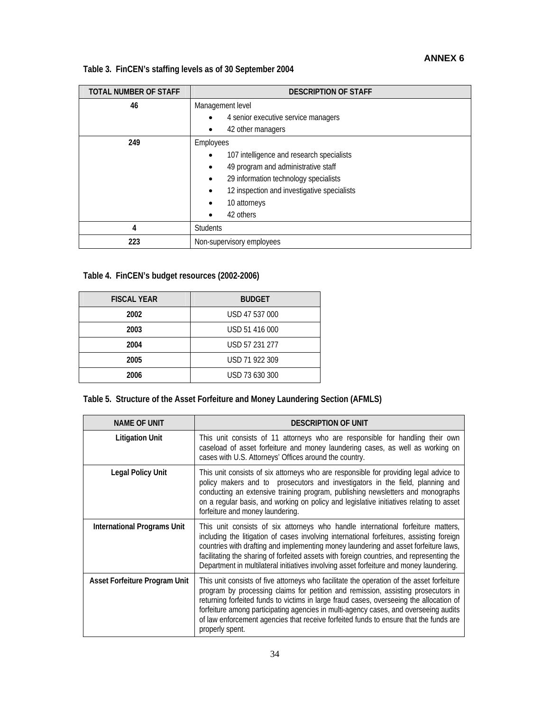# **Table 3. FinCEN's staffing levels as of 30 September 2004**

| <b>TOTAL NUMBER OF STAFF</b> | <b>DESCRIPTION OF STAFF</b>                 |  |  |
|------------------------------|---------------------------------------------|--|--|
| 46                           | Management level                            |  |  |
|                              | 4 senior executive service managers         |  |  |
|                              | 42 other managers                           |  |  |
| 249                          | Employees                                   |  |  |
|                              | 107 intelligence and research specialists   |  |  |
|                              | 49 program and administrative staff<br>٠    |  |  |
|                              | 29 information technology specialists       |  |  |
|                              | 12 inspection and investigative specialists |  |  |
|                              | 10 attorneys                                |  |  |
|                              | 42 others                                   |  |  |
| 4                            | <b>Students</b>                             |  |  |
| 223                          | Non-supervisory employees                   |  |  |

# **Table 4. FinCEN's budget resources (2002-2006)**

| <b>FISCAL YEAR</b>     | <b>BUDGET</b>  |  |
|------------------------|----------------|--|
| 2002                   | USD 47 537 000 |  |
| USD 51 416 000<br>2003 |                |  |
| 2004                   | USD 57 231 277 |  |
| USD 71 922 309<br>2005 |                |  |
| 2006                   | USD 73 630 300 |  |

# **Table 5. Structure of the Asset Forfeiture and Money Laundering Section (AFMLS)**

| <b>NAME OF UNIT</b>                | <b>DESCRIPTION OF UNIT</b>                                                                                                                                                                                                                                                                                                                                                                                                                                                    |
|------------------------------------|-------------------------------------------------------------------------------------------------------------------------------------------------------------------------------------------------------------------------------------------------------------------------------------------------------------------------------------------------------------------------------------------------------------------------------------------------------------------------------|
| <b>Litigation Unit</b>             | This unit consists of 11 attorneys who are responsible for handling their own<br>caseload of asset forfeiture and money laundering cases, as well as working on<br>cases with U.S. Attorneys' Offices around the country.                                                                                                                                                                                                                                                     |
| <b>Legal Policy Unit</b>           | This unit consists of six attorneys who are responsible for providing legal advice to<br>policy makers and to prosecutors and investigators in the field, planning and<br>conducting an extensive training program, publishing newsletters and monographs<br>on a regular basis, and working on policy and legislative initiatives relating to asset<br>forfeiture and money laundering.                                                                                      |
| <b>International Programs Unit</b> | This unit consists of six attorneys who handle international forfeiture matters,<br>including the litigation of cases involving international forfeitures, assisting foreign<br>countries with drafting and implementing money laundering and asset forfeiture laws,<br>facilitating the sharing of forfeited assets with foreign countries, and representing the<br>Department in multilateral initiatives involving asset forfeiture and money laundering.                  |
| Asset Forfeiture Program Unit      | This unit consists of five attorneys who facilitate the operation of the asset forfeiture<br>program by processing claims for petition and remission, assisting prosecutors in<br>returning forfeited funds to victims in large fraud cases, overseeing the allocation of<br>forfeiture among participating agencies in multi-agency cases, and overseeing audits<br>of law enforcement agencies that receive forfeited funds to ensure that the funds are<br>properly spent. |